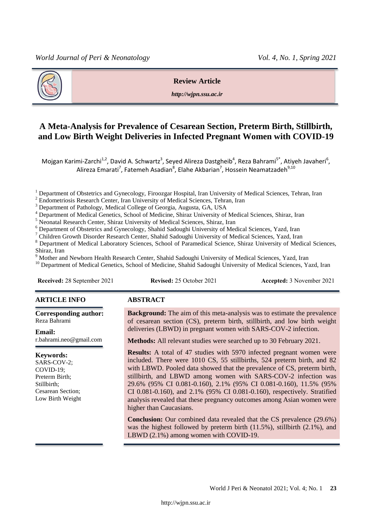

## **Review Article**

*http://wjpn.ssu.ac.ir*

# **A Meta-Analysis for Prevalence of Cesarean Section, Preterm Birth, Stillbirth, and Low Birth Weight Deliveries in Infected Pregnant Women with COVID-19**

Mojgan Karimi-Zarchi<sup>1,2</sup>, David A. Schwartz<sup>3</sup>, Seyed Alireza Dastgheib<sup>4</sup>, Reza Bahrami<sup>5\*</sup>, Atiyeh Javaheri<sup>6</sup>, Alireza Emarati<sup>7</sup>, Fatemeh Asadian<sup>8</sup>, Elahe Akbarian<sup>7</sup>, Hossein Neamatzadeh<sup>9,10</sup>

<sup>1</sup> Department of Obstetrics and Gynecology, Firoozgar Hospital, Iran University of Medical Sciences, Tehran, Iran

<sup>2</sup> Endometriosis Research Center, Iran University of Medical Sciences, Tehran, Iran

<sup>3</sup> Department of Pathology, Medical College of Georgia, Augusta, GA, USA

<sup>4</sup> Department of Medical Genetics, School of Medicine, Shiraz University of Medical Sciences, Shiraz, Iran

<sup>5</sup> Neonatal Research Center, Shiraz University of Medical Sciences, Shiraz, Iran

<sup>6</sup> Department of Obstetrics and Gynecology, Shahid Sadoughi University of Medical Sciences, Yazd, Iran  $^7$  Children Growth Disorder Research Center, Shahid Sadoughi University of Medical Sciences, Yazd, Iran

<sup>7</sup> Children Growth Disorder Research Center, Shahid Sadoughi University of Medical Sciences, Yazd, Iran

<sup>8</sup> Department of Medical Laboratory Sciences, School of Paramedical Science, Shiraz University of Medical Sciences, Shiraz, Iran

<sup>9</sup> Mother and Newborn Health Research Center, Shahid Sadoughi University of Medical Sciences, Yazd, Iran

<sup>10</sup> Department of Medical Genetics, School of Medicine, Shahid Sadoughi University of Medical Sciences, Yazd, Iran

**Received:** 28 September 2021 **Revised:** 25 October 2021 **Accepted:** 3 November 2021

#### **ARTICLE INFO ABSTRACT**

**Corresponding author:** Reza Bahrami

**Email:**  r.bahrami.neo@gmail.com

### **Keywords:**

SARS-COV-2; COVID-19; Preterm Birth; Stillbirth; Cesarean Section; Low Birth Weight

**Background:** The aim of this meta-analysis was to estimate the prevalence of cesarean section (CS), preterm birth, stillbirth, and low birth weight deliveries (LBWD) in pregnant women with SARS-COV-2 infection.

**Methods:** All relevant studies were searched up to 30 February 2021.

**Results:** A total of 47 studies with 5970 infected pregnant women were included. There were 1010 CS, 55 stillbirths, 524 preterm birth, and 82 with LBWD. Pooled data showed that the prevalence of CS, preterm birth, stillbirth, and LBWD among women with SARS-COV-2 infection was 29.6% (95% CI 0.081-0.160), 2.1% (95% CI 0.081-0.160), 11.5% (95% CI 0.081-0.160), and 2.1% (95% CI 0.081-0.160), respectively. Stratified analysis revealed that these pregnancy outcomes among Asian women were higher than Caucasians.

**Conclusion:** Our combined data revealed that the CS prevalence (29.6%) was the highest followed by preterm birth (11.5%), stillbirth (2.1%), and LBWD (2.1%) among women with COVID-19.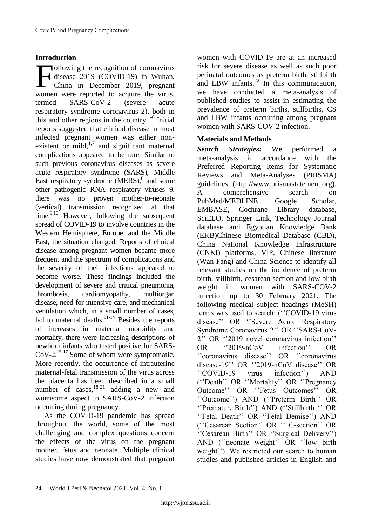# **Introduction**

ollowing the recognition of coronavirus disease 2019 (COVID-19) in Wuhan, China in December 2019, pregnant ollowing the recognition of coronavirus<br>disease 2019 (COVID-19) in Wuhan,<br>China in December 2019, pregnant<br>women were reported to acquire the virus, termed SARS-CoV-2 (severe acute respiratory syndrome coronavirus 2), both in this and other regions in the country.<sup>1-6</sup> Initial reports suggested that clinical disease in most infected pregnant women was either nonexistent or mild, $1,7$  and significant maternal complications appeared to be rare. Similar to such previous coronavirus diseases as severe acute respiratory syndrome (SARS), Middle East respiratory syndrome (MERS),<sup>8</sup> and some other pathogenic RNA respiratory viruses 9, there was no proven mother-to-neonate (vertical) transmission recognized at that time. $^{9,10}$  However, following the subsequent spread of COVID-19 to involve countries in the Western Hemisphere, Europe, and the Middle East, the situation changed. Reports of clinical disease among pregnant women became more frequent and the spectrum of complications and the severity of their infections appeared to become worse. These findings included the development of severe and critical pneumonia, thrombosis, cardiomyopathy, multiorgan disease, need for intensive care, and mechanical ventilation which, in a small number of cases, led to maternal deaths. $11-14$  Besides the reports of increases in maternal morbidity and mortality, there were increasing descriptions of newborn infants who tested positive for SARS- $CoV-2$ <sup>15-17</sup> Some of whom were symptomatic. More recently, the occurrence of intrauterine maternal-fetal transmission of the virus across the placenta has been described in a small number of cases,  $18-21$  adding a new and worrisome aspect to SARS-CoV-2 infection occurring during pregnancy.

As the COVID-19 pandemic has spread throughout the world, some of the most challenging and complex questions concern the effects of the virus on the pregnant mother, fetus and neonate. Multiple clinical studies have now demonstrated that pregnant

women with COVID-19 are at an increased risk for severe disease as well as such poor perinatal outcomes as preterm birth, stillbirth and LBW infants. $^{22}$  In this communication, we have conducted a meta-analysis of published studies to assist in estimating the prevalence of preterm births, stillbirths, CS and LBW infants occurring among pregnant women with SARS-COV-2 infection.

# **Materials and Methods**

*Search Strategies:* We performed a meta-analysis in accordance with the Preferred Reporting Items for Systematic Reviews and Meta-Analyses (PRISMA) guidelines (http://www.prismastatement.org). A comprehensive search on PubMed/MEDLINE, Google Scholar, EMBASE, Cochrane Library database, SciELO, Springer Link, Technology Journal database and Egyptian Knowledge Bank (EKB)Chinese Biomedical Database (CBD), China National Knowledge Infrastructure (CNKI) platforms, VIP, Chinese literature (Wan Fang) and China Science to identify all relevant studies on the incidence of preterm birth, stillbirth, cesarean section and low birth weight in women with SARS-COV-2 infection up to 30 February 2021. The following medical subject headings (MeSH) terms was used to search: (''COVID-19 virus disease'' OR ''Severe Acute Respiratory Syndrome Coronavirus 2'' OR ''SARS-CoV-2'' OR ''2019 novel coronavirus infection'' OR ''2019-nCoV infection'' OR ''coronavirus disease'' OR ''coronavirus disease-19'' OR ''2019-nCoV disease'' OR ''COVID-19 virus infection'') AND (''Death'' OR ''Mortality'' OR ''Pregnancy Outcome'' OR ''Fetus Outcomes'' OR ''Outcome'') AND (''Preterm Birth'' OR ''Premature Birth'') AND (''Stillbirth '' OR ''Fetal Death'' OR ''Fetal Demise'') AND (''Cesarean Section'' OR '' C-section'' OR ''Cesarean Birth'' OR ''Surgical Delivery'') AND (''neonate weight'' OR ''low birth weight''). We restricted our search to human studies and published articles in English and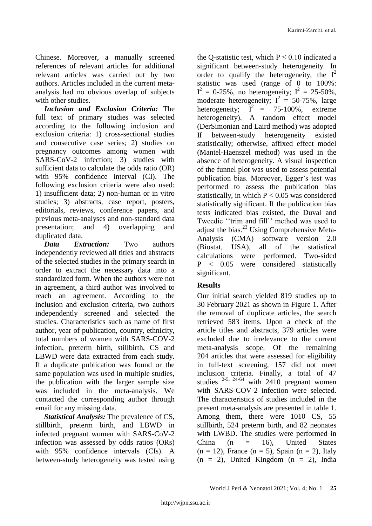Chinese. Moreover, a manually screened references of relevant articles for additional relevant articles was carried out by two authors. Articles included in the current metaanalysis had no obvious overlap of subjects with other studies.

*Inclusion and Exclusion Criteria:* The full text of primary studies was selected according to the following inclusion and exclusion criteria: 1) cross-sectional studies and consecutive case series; 2) studies on pregnancy outcomes among women with SARS-CoV-2 infection; 3) studies with sufficient data to calculate the odds ratio (OR) with 95% confidence interval (CI). The following exclusion criteria were also used: 1) insufficient data; 2) non-human or in vitro studies; 3) abstracts, case report, posters, editorials, reviews, conference papers, and previous meta-analyses and non-standard data presentation; and 4) overlapping and duplicated data.

*Data Extraction:* Two authors independently reviewed all titles and abstracts of the selected studies in the primary search in order to extract the necessary data into a standardized form. When the authors were not in agreement, a third author was involved to reach an agreement. According to the inclusion and exclusion criteria, two authors independently screened and selected the studies. Characteristics such as name of first author, year of publication, country, ethnicity, total numbers of women with SARS-COV-2 infection, preterm birth, stillbirth, CS and LBWD were data extracted from each study. If a duplicate publication was found or the same population was used in multiple studies, the publication with the larger sample size was included in the meta-analysis. We contacted the corresponding author through email for any missing data.

*Statistical Analysis:* The prevalence of CS, stillbirth, preterm birth, and LBWD in infected pregnant women with SARS-CoV-2 infection was assessed by odds ratios (ORs) with 95% confidence intervals (CIs). A between-study heterogeneity was tested using the Q-statistic test, which  $P \le 0.10$  indicated a significant between-study heterogeneity. In order to qualify the heterogeneity, the  $I^2$ statistic was used (range of 0 to 100%:  $I^2 = 0.25\%$ , no heterogeneity;  $I^2 = 25.50\%$ , moderate heterogeneity;  $I^2 = 50-75\%$ , large heterogeneity;  $I^2 = 75{\text -}100\%$ , extreme heterogeneity). A random effect model (DerSimonian and Laird method) was adopted If between-study heterogeneity existed statistically; otherwise, affixed effect model (Mantel-Haenszel method) was used in the absence of heterogeneity. A visual inspection of the funnel plot was used to assess potential publication bias. Moreover, Egger's test was performed to assess the publication bias statistically, in which  $P < 0.05$  was considered statistically significant. If the publication bias tests indicated bias existed, the Duval and Tweedie ''trim and fill'' method was used to adjust the bias.<sup>23</sup> Using Comprehensive Meta-Analysis (CMA) software version 2.0 (Biostat, USA), all of the statistical calculations were performed. Two-sided P < 0.05 were considered statistically significant.

# **Results**

Our initial search yielded 819 studies up to 30 February 2021 as shown in Figure 1. After the removal of duplicate articles, the search retrieved 583 items. Upon a check of the article titles and abstracts, 379 articles were excluded due to irrelevance to the current meta-analysis scope. Of the remaining 204 articles that were assessed for eligibility in full-text screening, 157 did not meet inclusion criteria. Finally, a total of 47 studies  $2-5$ ,  $24-64$  with  $2410$  pregnant women with SARS-COV-2 infection were selected. The characteristics of studies included in the present meta-analysis are presented in table 1. Among them, there were 1010 CS, 55 stillbirth, 524 preterm birth, and 82 neonates with LWBD. The studies were performed in China (n = 16), United States  $(n = 12)$ , France  $(n = 5)$ , Spain  $(n = 2)$ , Italy  $(n = 2)$ , United Kingdom  $(n = 2)$ , India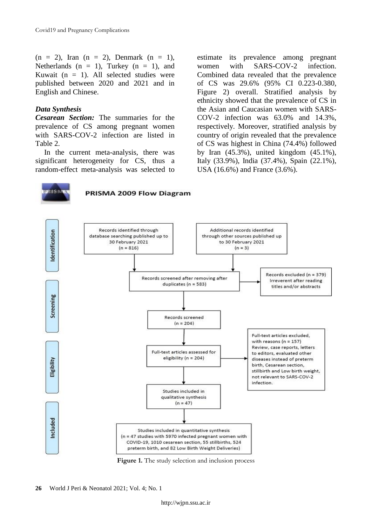$(n = 2)$ , Iran  $(n = 2)$ , Denmark  $(n = 1)$ , Netherlands ( $n = 1$ ), Turkey ( $n = 1$ ), and Kuwait ( $n = 1$ ). All selected studies were published between 2020 and 2021 and in English and Chinese.

# *Data Synthesis*

*Cesarean Section:* The summaries for the prevalence of CS among pregnant women with SARS-COV-2 infection are listed in Table 2.

In the current meta-analysis, there was significant heterogeneity for CS, thus a random-effect meta-analysis was selected to estimate its prevalence among pregnant women with SARS-COV-2 infection. Combined data revealed that the prevalence of CS was 29.6% (95% CI 0.223-0.380, Figure 2) overall. Stratified analysis by ethnicity showed that the prevalence of CS in the Asian and Caucasian women with SARS-COV-2 infection was 63.0% and 14.3%, respectively. Moreover, stratified analysis by country of origin revealed that the prevalence of CS was highest in China (74.4%) followed by Iran (45.3%), united kingdom (45.1%), Italy (33.9%), India (37.4%), Spain (22.1%), USA (16.6%) and France (3.6%).



PRISMA 2009 Flow Diagram



**Figure 1.** The study selection and inclusion process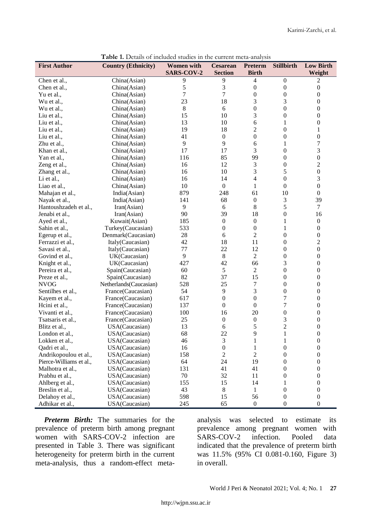| <b>Low Birth</b><br><b>First Author</b><br><b>Country (Ethnicity)</b><br><b>Women</b> with<br><b>Stillbirth</b><br><b>SARS-COV-2</b><br><b>Section</b><br><b>Birth</b><br>Weight<br>9<br>9<br>4<br>China(Asian)<br>$\boldsymbol{0}$<br>2<br>Chen et al.,<br>5<br>3<br>$\boldsymbol{0}$<br>$\boldsymbol{0}$<br>China(Asian)<br>0<br>Chen et al.,<br>7<br>7<br>$\boldsymbol{0}$<br>$\mathbf{0}$<br>0<br>Yu et al.,<br>China(Asian)<br>3<br>18<br>23<br>3<br>0<br>China(Asian)<br>Wu et al.,<br>$\boldsymbol{0}$<br>$\boldsymbol{0}$<br>8<br>6<br>0<br>Wu et al.,<br>China(Asian)<br>15<br>3<br>$\boldsymbol{0}$<br>$\boldsymbol{0}$<br>10<br>China(Asian)<br>Liu et al.,<br>10<br>13<br>6<br>1<br>0<br>China(Asian)<br>Liu et al.,<br>18<br>$\overline{c}$<br>$\boldsymbol{0}$<br>19<br>$\mathbf{1}$<br>China(Asian)<br>Liu et al.,<br>$\overline{0}$<br>$\boldsymbol{0}$<br>41<br>$\boldsymbol{0}$<br>$\boldsymbol{0}$<br>Liu et al.,<br>China(Asian)<br>7<br>9<br>9<br>$\mathbf{1}$<br>China(Asian)<br>6<br>Zhu et al.,<br>3<br>3<br>17<br>17<br>$\mathbf{0}$<br>China(Asian)<br>Khan et al.,<br>$\boldsymbol{0}$<br>99<br>85<br>$\mathbf{0}$<br>Yan et al.,<br>China(Asian)<br>116<br>$\overline{c}$<br>12<br>3<br>$\boldsymbol{0}$<br>China(Asian)<br>16<br>Zeng et al.,<br>$\boldsymbol{0}$<br>5<br>3<br>10<br>China(Asian)<br>16<br>Zhang et al.,<br>3<br>$\overline{0}$<br>14<br>4<br>Li et al.,<br>16<br>China(Asian)<br>$\boldsymbol{0}$<br>10<br>$\boldsymbol{0}$<br>$\mathbf{1}$<br>$\mathbf{0}$<br>China(Asian)<br>Liao et al.,<br>10<br>879<br>248<br>61<br>$\boldsymbol{0}$<br>Mahajan et al.,<br>India(Asian)<br>3<br>39<br>68<br>$\boldsymbol{0}$<br>Nayak et al.,<br>India(Asian)<br>141<br>5<br>8<br>9<br>$\tau$<br>Hantoushzadeh et al.,<br>Iran(Asian)<br>6<br>39<br>$\overline{0}$<br>90<br>18<br>16<br>Jenabi et al.,<br>Iran(Asian)<br>$\boldsymbol{0}$<br>$\boldsymbol{0}$<br>1<br>$\boldsymbol{0}$<br>Ayed et al.,<br>Kuwait(Asian)<br>185<br>$\boldsymbol{0}$<br>533<br>$\boldsymbol{0}$<br>1<br>0<br>Sahin et al.,<br>Turkey(Caucasian)<br>$\overline{c}$<br>$\boldsymbol{0}$<br>$\boldsymbol{0}$<br>Denmark(Caucasian)<br>28<br>6<br>Egerup et al.,<br>18<br>11<br>$\overline{c}$<br>42<br>$\mathbf{0}$<br>Ferrazzi et al.,<br>Italy(Caucasian)<br>77<br>22<br>12<br>$\overline{0}$<br>$\boldsymbol{0}$<br>Savasi et al.,<br>Italy(Caucasian)<br>$\overline{c}$<br>9<br>8<br>$\boldsymbol{0}$<br>0<br>Govind et al.,<br>UK(Caucasian)<br>3<br>42<br>66<br>0<br>Knight et al.,<br>UK(Caucasian)<br>427<br>$\overline{0}$<br>Pereira et al.,<br>5<br>$\overline{c}$<br>$\overline{0}$<br>Spain(Caucasian)<br>60<br>82<br>37<br>15<br>$\boldsymbol{0}$<br>0<br>Preze et al.,<br>Spain(Caucasian)<br>25<br>$\boldsymbol{0}$<br><b>NVOG</b><br>528<br>7<br>0<br>Netherlands (Caucasian)<br>3<br>54<br>9<br>$\boldsymbol{0}$<br>$\boldsymbol{0}$<br>Sentilhes et al.,<br>France(Caucasian)<br>7<br>0<br>$\mathbf{0}$<br>0<br>Kayem et al.,<br>France(Caucasian)<br>617 |
|--------------------------------------------------------------------------------------------------------------------------------------------------------------------------------------------------------------------------------------------------------------------------------------------------------------------------------------------------------------------------------------------------------------------------------------------------------------------------------------------------------------------------------------------------------------------------------------------------------------------------------------------------------------------------------------------------------------------------------------------------------------------------------------------------------------------------------------------------------------------------------------------------------------------------------------------------------------------------------------------------------------------------------------------------------------------------------------------------------------------------------------------------------------------------------------------------------------------------------------------------------------------------------------------------------------------------------------------------------------------------------------------------------------------------------------------------------------------------------------------------------------------------------------------------------------------------------------------------------------------------------------------------------------------------------------------------------------------------------------------------------------------------------------------------------------------------------------------------------------------------------------------------------------------------------------------------------------------------------------------------------------------------------------------------------------------------------------------------------------------------------------------------------------------------------------------------------------------------------------------------------------------------------------------------------------------------------------------------------------------------------------------------------------------------------------------------------------------------------------------------------------------------------------------------------------------------------------------------------------------------------------------------------------------------------------------------------------------------------------------------------------------------------------------------------------------------------------------------------------------------------------------------------------------------------------------------------------------------------------------|
|                                                                                                                                                                                                                                                                                                                                                                                                                                                                                                                                                                                                                                                                                                                                                                                                                                                                                                                                                                                                                                                                                                                                                                                                                                                                                                                                                                                                                                                                                                                                                                                                                                                                                                                                                                                                                                                                                                                                                                                                                                                                                                                                                                                                                                                                                                                                                                                                                                                                                                                                                                                                                                                                                                                                                                                                                                                                                                                                                                                            |
|                                                                                                                                                                                                                                                                                                                                                                                                                                                                                                                                                                                                                                                                                                                                                                                                                                                                                                                                                                                                                                                                                                                                                                                                                                                                                                                                                                                                                                                                                                                                                                                                                                                                                                                                                                                                                                                                                                                                                                                                                                                                                                                                                                                                                                                                                                                                                                                                                                                                                                                                                                                                                                                                                                                                                                                                                                                                                                                                                                                            |
|                                                                                                                                                                                                                                                                                                                                                                                                                                                                                                                                                                                                                                                                                                                                                                                                                                                                                                                                                                                                                                                                                                                                                                                                                                                                                                                                                                                                                                                                                                                                                                                                                                                                                                                                                                                                                                                                                                                                                                                                                                                                                                                                                                                                                                                                                                                                                                                                                                                                                                                                                                                                                                                                                                                                                                                                                                                                                                                                                                                            |
|                                                                                                                                                                                                                                                                                                                                                                                                                                                                                                                                                                                                                                                                                                                                                                                                                                                                                                                                                                                                                                                                                                                                                                                                                                                                                                                                                                                                                                                                                                                                                                                                                                                                                                                                                                                                                                                                                                                                                                                                                                                                                                                                                                                                                                                                                                                                                                                                                                                                                                                                                                                                                                                                                                                                                                                                                                                                                                                                                                                            |
|                                                                                                                                                                                                                                                                                                                                                                                                                                                                                                                                                                                                                                                                                                                                                                                                                                                                                                                                                                                                                                                                                                                                                                                                                                                                                                                                                                                                                                                                                                                                                                                                                                                                                                                                                                                                                                                                                                                                                                                                                                                                                                                                                                                                                                                                                                                                                                                                                                                                                                                                                                                                                                                                                                                                                                                                                                                                                                                                                                                            |
|                                                                                                                                                                                                                                                                                                                                                                                                                                                                                                                                                                                                                                                                                                                                                                                                                                                                                                                                                                                                                                                                                                                                                                                                                                                                                                                                                                                                                                                                                                                                                                                                                                                                                                                                                                                                                                                                                                                                                                                                                                                                                                                                                                                                                                                                                                                                                                                                                                                                                                                                                                                                                                                                                                                                                                                                                                                                                                                                                                                            |
|                                                                                                                                                                                                                                                                                                                                                                                                                                                                                                                                                                                                                                                                                                                                                                                                                                                                                                                                                                                                                                                                                                                                                                                                                                                                                                                                                                                                                                                                                                                                                                                                                                                                                                                                                                                                                                                                                                                                                                                                                                                                                                                                                                                                                                                                                                                                                                                                                                                                                                                                                                                                                                                                                                                                                                                                                                                                                                                                                                                            |
|                                                                                                                                                                                                                                                                                                                                                                                                                                                                                                                                                                                                                                                                                                                                                                                                                                                                                                                                                                                                                                                                                                                                                                                                                                                                                                                                                                                                                                                                                                                                                                                                                                                                                                                                                                                                                                                                                                                                                                                                                                                                                                                                                                                                                                                                                                                                                                                                                                                                                                                                                                                                                                                                                                                                                                                                                                                                                                                                                                                            |
|                                                                                                                                                                                                                                                                                                                                                                                                                                                                                                                                                                                                                                                                                                                                                                                                                                                                                                                                                                                                                                                                                                                                                                                                                                                                                                                                                                                                                                                                                                                                                                                                                                                                                                                                                                                                                                                                                                                                                                                                                                                                                                                                                                                                                                                                                                                                                                                                                                                                                                                                                                                                                                                                                                                                                                                                                                                                                                                                                                                            |
|                                                                                                                                                                                                                                                                                                                                                                                                                                                                                                                                                                                                                                                                                                                                                                                                                                                                                                                                                                                                                                                                                                                                                                                                                                                                                                                                                                                                                                                                                                                                                                                                                                                                                                                                                                                                                                                                                                                                                                                                                                                                                                                                                                                                                                                                                                                                                                                                                                                                                                                                                                                                                                                                                                                                                                                                                                                                                                                                                                                            |
|                                                                                                                                                                                                                                                                                                                                                                                                                                                                                                                                                                                                                                                                                                                                                                                                                                                                                                                                                                                                                                                                                                                                                                                                                                                                                                                                                                                                                                                                                                                                                                                                                                                                                                                                                                                                                                                                                                                                                                                                                                                                                                                                                                                                                                                                                                                                                                                                                                                                                                                                                                                                                                                                                                                                                                                                                                                                                                                                                                                            |
|                                                                                                                                                                                                                                                                                                                                                                                                                                                                                                                                                                                                                                                                                                                                                                                                                                                                                                                                                                                                                                                                                                                                                                                                                                                                                                                                                                                                                                                                                                                                                                                                                                                                                                                                                                                                                                                                                                                                                                                                                                                                                                                                                                                                                                                                                                                                                                                                                                                                                                                                                                                                                                                                                                                                                                                                                                                                                                                                                                                            |
|                                                                                                                                                                                                                                                                                                                                                                                                                                                                                                                                                                                                                                                                                                                                                                                                                                                                                                                                                                                                                                                                                                                                                                                                                                                                                                                                                                                                                                                                                                                                                                                                                                                                                                                                                                                                                                                                                                                                                                                                                                                                                                                                                                                                                                                                                                                                                                                                                                                                                                                                                                                                                                                                                                                                                                                                                                                                                                                                                                                            |
|                                                                                                                                                                                                                                                                                                                                                                                                                                                                                                                                                                                                                                                                                                                                                                                                                                                                                                                                                                                                                                                                                                                                                                                                                                                                                                                                                                                                                                                                                                                                                                                                                                                                                                                                                                                                                                                                                                                                                                                                                                                                                                                                                                                                                                                                                                                                                                                                                                                                                                                                                                                                                                                                                                                                                                                                                                                                                                                                                                                            |
|                                                                                                                                                                                                                                                                                                                                                                                                                                                                                                                                                                                                                                                                                                                                                                                                                                                                                                                                                                                                                                                                                                                                                                                                                                                                                                                                                                                                                                                                                                                                                                                                                                                                                                                                                                                                                                                                                                                                                                                                                                                                                                                                                                                                                                                                                                                                                                                                                                                                                                                                                                                                                                                                                                                                                                                                                                                                                                                                                                                            |
|                                                                                                                                                                                                                                                                                                                                                                                                                                                                                                                                                                                                                                                                                                                                                                                                                                                                                                                                                                                                                                                                                                                                                                                                                                                                                                                                                                                                                                                                                                                                                                                                                                                                                                                                                                                                                                                                                                                                                                                                                                                                                                                                                                                                                                                                                                                                                                                                                                                                                                                                                                                                                                                                                                                                                                                                                                                                                                                                                                                            |
|                                                                                                                                                                                                                                                                                                                                                                                                                                                                                                                                                                                                                                                                                                                                                                                                                                                                                                                                                                                                                                                                                                                                                                                                                                                                                                                                                                                                                                                                                                                                                                                                                                                                                                                                                                                                                                                                                                                                                                                                                                                                                                                                                                                                                                                                                                                                                                                                                                                                                                                                                                                                                                                                                                                                                                                                                                                                                                                                                                                            |
|                                                                                                                                                                                                                                                                                                                                                                                                                                                                                                                                                                                                                                                                                                                                                                                                                                                                                                                                                                                                                                                                                                                                                                                                                                                                                                                                                                                                                                                                                                                                                                                                                                                                                                                                                                                                                                                                                                                                                                                                                                                                                                                                                                                                                                                                                                                                                                                                                                                                                                                                                                                                                                                                                                                                                                                                                                                                                                                                                                                            |
|                                                                                                                                                                                                                                                                                                                                                                                                                                                                                                                                                                                                                                                                                                                                                                                                                                                                                                                                                                                                                                                                                                                                                                                                                                                                                                                                                                                                                                                                                                                                                                                                                                                                                                                                                                                                                                                                                                                                                                                                                                                                                                                                                                                                                                                                                                                                                                                                                                                                                                                                                                                                                                                                                                                                                                                                                                                                                                                                                                                            |
|                                                                                                                                                                                                                                                                                                                                                                                                                                                                                                                                                                                                                                                                                                                                                                                                                                                                                                                                                                                                                                                                                                                                                                                                                                                                                                                                                                                                                                                                                                                                                                                                                                                                                                                                                                                                                                                                                                                                                                                                                                                                                                                                                                                                                                                                                                                                                                                                                                                                                                                                                                                                                                                                                                                                                                                                                                                                                                                                                                                            |
|                                                                                                                                                                                                                                                                                                                                                                                                                                                                                                                                                                                                                                                                                                                                                                                                                                                                                                                                                                                                                                                                                                                                                                                                                                                                                                                                                                                                                                                                                                                                                                                                                                                                                                                                                                                                                                                                                                                                                                                                                                                                                                                                                                                                                                                                                                                                                                                                                                                                                                                                                                                                                                                                                                                                                                                                                                                                                                                                                                                            |
|                                                                                                                                                                                                                                                                                                                                                                                                                                                                                                                                                                                                                                                                                                                                                                                                                                                                                                                                                                                                                                                                                                                                                                                                                                                                                                                                                                                                                                                                                                                                                                                                                                                                                                                                                                                                                                                                                                                                                                                                                                                                                                                                                                                                                                                                                                                                                                                                                                                                                                                                                                                                                                                                                                                                                                                                                                                                                                                                                                                            |
|                                                                                                                                                                                                                                                                                                                                                                                                                                                                                                                                                                                                                                                                                                                                                                                                                                                                                                                                                                                                                                                                                                                                                                                                                                                                                                                                                                                                                                                                                                                                                                                                                                                                                                                                                                                                                                                                                                                                                                                                                                                                                                                                                                                                                                                                                                                                                                                                                                                                                                                                                                                                                                                                                                                                                                                                                                                                                                                                                                                            |
|                                                                                                                                                                                                                                                                                                                                                                                                                                                                                                                                                                                                                                                                                                                                                                                                                                                                                                                                                                                                                                                                                                                                                                                                                                                                                                                                                                                                                                                                                                                                                                                                                                                                                                                                                                                                                                                                                                                                                                                                                                                                                                                                                                                                                                                                                                                                                                                                                                                                                                                                                                                                                                                                                                                                                                                                                                                                                                                                                                                            |
|                                                                                                                                                                                                                                                                                                                                                                                                                                                                                                                                                                                                                                                                                                                                                                                                                                                                                                                                                                                                                                                                                                                                                                                                                                                                                                                                                                                                                                                                                                                                                                                                                                                                                                                                                                                                                                                                                                                                                                                                                                                                                                                                                                                                                                                                                                                                                                                                                                                                                                                                                                                                                                                                                                                                                                                                                                                                                                                                                                                            |
|                                                                                                                                                                                                                                                                                                                                                                                                                                                                                                                                                                                                                                                                                                                                                                                                                                                                                                                                                                                                                                                                                                                                                                                                                                                                                                                                                                                                                                                                                                                                                                                                                                                                                                                                                                                                                                                                                                                                                                                                                                                                                                                                                                                                                                                                                                                                                                                                                                                                                                                                                                                                                                                                                                                                                                                                                                                                                                                                                                                            |
|                                                                                                                                                                                                                                                                                                                                                                                                                                                                                                                                                                                                                                                                                                                                                                                                                                                                                                                                                                                                                                                                                                                                                                                                                                                                                                                                                                                                                                                                                                                                                                                                                                                                                                                                                                                                                                                                                                                                                                                                                                                                                                                                                                                                                                                                                                                                                                                                                                                                                                                                                                                                                                                                                                                                                                                                                                                                                                                                                                                            |
|                                                                                                                                                                                                                                                                                                                                                                                                                                                                                                                                                                                                                                                                                                                                                                                                                                                                                                                                                                                                                                                                                                                                                                                                                                                                                                                                                                                                                                                                                                                                                                                                                                                                                                                                                                                                                                                                                                                                                                                                                                                                                                                                                                                                                                                                                                                                                                                                                                                                                                                                                                                                                                                                                                                                                                                                                                                                                                                                                                                            |
|                                                                                                                                                                                                                                                                                                                                                                                                                                                                                                                                                                                                                                                                                                                                                                                                                                                                                                                                                                                                                                                                                                                                                                                                                                                                                                                                                                                                                                                                                                                                                                                                                                                                                                                                                                                                                                                                                                                                                                                                                                                                                                                                                                                                                                                                                                                                                                                                                                                                                                                                                                                                                                                                                                                                                                                                                                                                                                                                                                                            |
|                                                                                                                                                                                                                                                                                                                                                                                                                                                                                                                                                                                                                                                                                                                                                                                                                                                                                                                                                                                                                                                                                                                                                                                                                                                                                                                                                                                                                                                                                                                                                                                                                                                                                                                                                                                                                                                                                                                                                                                                                                                                                                                                                                                                                                                                                                                                                                                                                                                                                                                                                                                                                                                                                                                                                                                                                                                                                                                                                                                            |
|                                                                                                                                                                                                                                                                                                                                                                                                                                                                                                                                                                                                                                                                                                                                                                                                                                                                                                                                                                                                                                                                                                                                                                                                                                                                                                                                                                                                                                                                                                                                                                                                                                                                                                                                                                                                                                                                                                                                                                                                                                                                                                                                                                                                                                                                                                                                                                                                                                                                                                                                                                                                                                                                                                                                                                                                                                                                                                                                                                                            |
|                                                                                                                                                                                                                                                                                                                                                                                                                                                                                                                                                                                                                                                                                                                                                                                                                                                                                                                                                                                                                                                                                                                                                                                                                                                                                                                                                                                                                                                                                                                                                                                                                                                                                                                                                                                                                                                                                                                                                                                                                                                                                                                                                                                                                                                                                                                                                                                                                                                                                                                                                                                                                                                                                                                                                                                                                                                                                                                                                                                            |
|                                                                                                                                                                                                                                                                                                                                                                                                                                                                                                                                                                                                                                                                                                                                                                                                                                                                                                                                                                                                                                                                                                                                                                                                                                                                                                                                                                                                                                                                                                                                                                                                                                                                                                                                                                                                                                                                                                                                                                                                                                                                                                                                                                                                                                                                                                                                                                                                                                                                                                                                                                                                                                                                                                                                                                                                                                                                                                                                                                                            |
| $\overline{7}$<br>$\boldsymbol{0}$<br>$\boldsymbol{0}$<br>0<br>Hcini et al.,<br>France(Caucasian)<br>137                                                                                                                                                                                                                                                                                                                                                                                                                                                                                                                                                                                                                                                                                                                                                                                                                                                                                                                                                                                                                                                                                                                                                                                                                                                                                                                                                                                                                                                                                                                                                                                                                                                                                                                                                                                                                                                                                                                                                                                                                                                                                                                                                                                                                                                                                                                                                                                                                                                                                                                                                                                                                                                                                                                                                                                                                                                                                   |
| 16<br>20<br>$\boldsymbol{0}$<br>$\overline{0}$<br>Vivanti et al.,<br>France(Caucasian)<br>100                                                                                                                                                                                                                                                                                                                                                                                                                                                                                                                                                                                                                                                                                                                                                                                                                                                                                                                                                                                                                                                                                                                                                                                                                                                                                                                                                                                                                                                                                                                                                                                                                                                                                                                                                                                                                                                                                                                                                                                                                                                                                                                                                                                                                                                                                                                                                                                                                                                                                                                                                                                                                                                                                                                                                                                                                                                                                              |
| 3<br>0<br>Tsatsaris et al.,<br>France(Caucasian)<br>25<br>$\boldsymbol{0}$<br>$\boldsymbol{0}$                                                                                                                                                                                                                                                                                                                                                                                                                                                                                                                                                                                                                                                                                                                                                                                                                                                                                                                                                                                                                                                                                                                                                                                                                                                                                                                                                                                                                                                                                                                                                                                                                                                                                                                                                                                                                                                                                                                                                                                                                                                                                                                                                                                                                                                                                                                                                                                                                                                                                                                                                                                                                                                                                                                                                                                                                                                                                             |
| $\overline{c}$<br>5<br>13<br>0<br>Blitz et al.,<br>USA(Caucasian)<br>6                                                                                                                                                                                                                                                                                                                                                                                                                                                                                                                                                                                                                                                                                                                                                                                                                                                                                                                                                                                                                                                                                                                                                                                                                                                                                                                                                                                                                                                                                                                                                                                                                                                                                                                                                                                                                                                                                                                                                                                                                                                                                                                                                                                                                                                                                                                                                                                                                                                                                                                                                                                                                                                                                                                                                                                                                                                                                                                     |
| 9<br>$\mathbf{1}$<br>68<br>22<br>0<br>London et al.,<br>USA(Caucasian)                                                                                                                                                                                                                                                                                                                                                                                                                                                                                                                                                                                                                                                                                                                                                                                                                                                                                                                                                                                                                                                                                                                                                                                                                                                                                                                                                                                                                                                                                                                                                                                                                                                                                                                                                                                                                                                                                                                                                                                                                                                                                                                                                                                                                                                                                                                                                                                                                                                                                                                                                                                                                                                                                                                                                                                                                                                                                                                     |
| USA(Caucasian)<br>46<br>3<br>$\boldsymbol{0}$<br>$\mathbf{1}$<br>$\mathbf{1}$<br>Lokken et al.,                                                                                                                                                                                                                                                                                                                                                                                                                                                                                                                                                                                                                                                                                                                                                                                                                                                                                                                                                                                                                                                                                                                                                                                                                                                                                                                                                                                                                                                                                                                                                                                                                                                                                                                                                                                                                                                                                                                                                                                                                                                                                                                                                                                                                                                                                                                                                                                                                                                                                                                                                                                                                                                                                                                                                                                                                                                                                            |
| $\boldsymbol{0}$<br>$\boldsymbol{0}$<br>16<br>$\mathbf{1}$<br>$\boldsymbol{0}$<br>USA(Caucasian)<br>Qadri et al.,                                                                                                                                                                                                                                                                                                                                                                                                                                                                                                                                                                                                                                                                                                                                                                                                                                                                                                                                                                                                                                                                                                                                                                                                                                                                                                                                                                                                                                                                                                                                                                                                                                                                                                                                                                                                                                                                                                                                                                                                                                                                                                                                                                                                                                                                                                                                                                                                                                                                                                                                                                                                                                                                                                                                                                                                                                                                          |
| 158<br>$\overline{2}$<br>$\overline{c}$<br>$\mathbf{0}$<br>Andrikopoulou et al.,<br>USA(Caucasian)<br>$\mathbf{0}$                                                                                                                                                                                                                                                                                                                                                                                                                                                                                                                                                                                                                                                                                                                                                                                                                                                                                                                                                                                                                                                                                                                                                                                                                                                                                                                                                                                                                                                                                                                                                                                                                                                                                                                                                                                                                                                                                                                                                                                                                                                                                                                                                                                                                                                                                                                                                                                                                                                                                                                                                                                                                                                                                                                                                                                                                                                                         |
| Pierce-Williams et al.,<br>USA(Caucasian)<br>64<br>24<br>19<br>$\overline{0}$<br>$\boldsymbol{0}$                                                                                                                                                                                                                                                                                                                                                                                                                                                                                                                                                                                                                                                                                                                                                                                                                                                                                                                                                                                                                                                                                                                                                                                                                                                                                                                                                                                                                                                                                                                                                                                                                                                                                                                                                                                                                                                                                                                                                                                                                                                                                                                                                                                                                                                                                                                                                                                                                                                                                                                                                                                                                                                                                                                                                                                                                                                                                          |
| Malhotra et al.,<br>USA(Caucasian)<br>41<br>41<br>$\overline{0}$<br>131<br>0                                                                                                                                                                                                                                                                                                                                                                                                                                                                                                                                                                                                                                                                                                                                                                                                                                                                                                                                                                                                                                                                                                                                                                                                                                                                                                                                                                                                                                                                                                                                                                                                                                                                                                                                                                                                                                                                                                                                                                                                                                                                                                                                                                                                                                                                                                                                                                                                                                                                                                                                                                                                                                                                                                                                                                                                                                                                                                               |
| $\mathbf{0}$<br>Prabhu et al.,<br>USA(Caucasian)<br>70<br>32<br>11<br>0                                                                                                                                                                                                                                                                                                                                                                                                                                                                                                                                                                                                                                                                                                                                                                                                                                                                                                                                                                                                                                                                                                                                                                                                                                                                                                                                                                                                                                                                                                                                                                                                                                                                                                                                                                                                                                                                                                                                                                                                                                                                                                                                                                                                                                                                                                                                                                                                                                                                                                                                                                                                                                                                                                                                                                                                                                                                                                                    |
| 155<br>14<br>Ahlberg et al.,<br>USA(Caucasian)<br>15<br>1<br>0                                                                                                                                                                                                                                                                                                                                                                                                                                                                                                                                                                                                                                                                                                                                                                                                                                                                                                                                                                                                                                                                                                                                                                                                                                                                                                                                                                                                                                                                                                                                                                                                                                                                                                                                                                                                                                                                                                                                                                                                                                                                                                                                                                                                                                                                                                                                                                                                                                                                                                                                                                                                                                                                                                                                                                                                                                                                                                                             |
| 43<br>$\boldsymbol{0}$<br>Breslin et al.,<br>USA(Caucasian)<br>8<br>$\mathbf{1}$<br>$\boldsymbol{0}$                                                                                                                                                                                                                                                                                                                                                                                                                                                                                                                                                                                                                                                                                                                                                                                                                                                                                                                                                                                                                                                                                                                                                                                                                                                                                                                                                                                                                                                                                                                                                                                                                                                                                                                                                                                                                                                                                                                                                                                                                                                                                                                                                                                                                                                                                                                                                                                                                                                                                                                                                                                                                                                                                                                                                                                                                                                                                       |
| 56<br>Delahoy et al.,<br>USA(Caucasian)<br>598<br>15<br>$\boldsymbol{0}$<br>$\boldsymbol{0}$                                                                                                                                                                                                                                                                                                                                                                                                                                                                                                                                                                                                                                                                                                                                                                                                                                                                                                                                                                                                                                                                                                                                                                                                                                                                                                                                                                                                                                                                                                                                                                                                                                                                                                                                                                                                                                                                                                                                                                                                                                                                                                                                                                                                                                                                                                                                                                                                                                                                                                                                                                                                                                                                                                                                                                                                                                                                                               |
| $\boldsymbol{0}$<br>$\boldsymbol{0}$<br>$\boldsymbol{0}$<br>Adhikar et al.,<br>USA(Caucasian)<br>245<br>65                                                                                                                                                                                                                                                                                                                                                                                                                                                                                                                                                                                                                                                                                                                                                                                                                                                                                                                                                                                                                                                                                                                                                                                                                                                                                                                                                                                                                                                                                                                                                                                                                                                                                                                                                                                                                                                                                                                                                                                                                                                                                                                                                                                                                                                                                                                                                                                                                                                                                                                                                                                                                                                                                                                                                                                                                                                                                 |

**Table 1.** Details of included studies in the current meta-analysis

*Preterm Birth:* The summaries for the prevalence of preterm birth among pregnant women with SARS-COV-2 infection are presented in Table 3. There was significant heterogeneity for preterm birth in the current meta-analysis, thus a random-effect metaanalysis was selected to estimate its prevalence among pregnant women with<br>SARS-COV-2 infection. Pooled data SARS-COV-2 infection. Pooled data indicated that the prevalence of preterm birth was 11.5% (95% CI 0.081-0.160, Figure 3) in overall.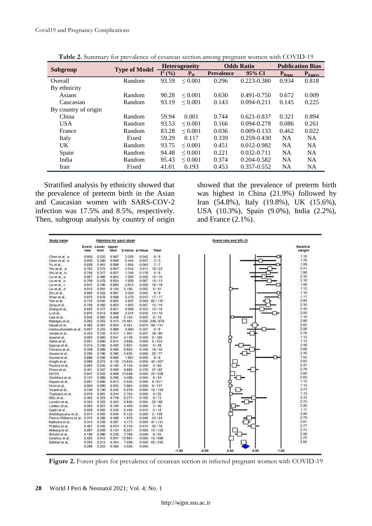|                      |                      |           |                      | ○ 1<br>$\circ$    |                   |                         |              |  |
|----------------------|----------------------|-----------|----------------------|-------------------|-------------------|-------------------------|--------------|--|
|                      | <b>Type of Model</b> |           | <b>Heterogeneity</b> |                   | <b>Odds Ratio</b> | <b>Publication Bias</b> |              |  |
| Subgroup             |                      | $I^2($ %) | $P_{\rm H}$          | <b>Prevalence</b> | 95% CI            | $P_{\text{Beggs}}$      | $P_{Egeers}$ |  |
| Overall              | Random               | 93.59     | ${}_{0.001}$         | 0.296             | 0.223-0.380       | 0.934                   | 0.818        |  |
| By ethnicity         |                      |           |                      |                   |                   |                         |              |  |
| Asians               | Random               | 90.28     | $\leq 0.001$         | 0.630             | $0.491 - 0.750$   | 0.672                   | 0.009        |  |
| Caucasian            | Random               | 93.19     | ${}_{0.001}$         | 0.143             | $0.094 - 0.211$   | 0.145                   | 0.225        |  |
| By country of origin |                      |           |                      |                   |                   |                         |              |  |
| China                | Random               | 59.94     | 0.001                | 0.744             | $0.621 - 0.837$   | 0.321                   | 0.894        |  |
| <b>USA</b>           | Random               | 93.53     | ${}_{0.001}$         | 0.166             | $0.094 - 0.278$   | 0.086                   | 0.261        |  |
| France               | Random               | 83.28     | ${}_{0.001}$         | 0.036             | $0.009 - 0.133$   | 0.462                   | 0.022        |  |
| Italy                | Fixed                | 59.29     | 0.117                | 0.339             | $0.259 - 0.430$   | <b>NA</b>               | <b>NA</b>    |  |
| UK                   | Random               | 93.75     | ${}_{0.001}$         | 0.451             | $0.012 - 0.982$   | <b>NA</b>               | <b>NA</b>    |  |
| Spain                | Random               | 94.48     | ${}_{0.001}$         | 0.221             | $0.032 - 0.711$   | <b>NA</b>               | <b>NA</b>    |  |
| India                | Random               | 95.43     | ${}_{0.001}$         | 0.374             | $0.204 - 0.582$   | <b>NA</b>               | <b>NA</b>    |  |
| Iran                 | Fixed                | 41.01     | 0.193                | 0.453             | 0.357-0.552       | <b>NA</b>               | <b>NA</b>    |  |

**Table 2.** Summary for prevalence of cesarean section among pregnant women with COVID-19

Stratified analysis by ethnicity showed that the prevalence of preterm birth in the Asian and Caucasian women with SARS-COV-2 infection was 17.5% and 8.5%, respectively. Then, subgroup analysis by country of origin showed that the prevalence of preterm birth was highest in China (21.9%) followed by Iran (54.8%), Italy (19.8%), UK (15.6%), USA (10.3%), Spain (9.0%), India (2.2%), and France (2.1%).

| Study name                    |       |                                    |               | Statistics for each study |                 | Event rate and 95% CI  |                    |                      |                    |  |  |  |
|-------------------------------|-------|------------------------------------|---------------|---------------------------|-----------------|------------------------|--------------------|----------------------|--------------------|--|--|--|
|                               | rate  | <b>Event Lower Upper</b><br>limit. | <b>Birmit</b> |                           | Z-Value p-Value | Total                  |                    |                      | Relative<br>weight |  |  |  |
| Chen et al. a                 | 0.950 | 0.525                              | 0.997         | 2029                      | 0.042           | 9,69                   |                    |                      | 1.10               |  |  |  |
| Chen et al. b                 | 0.600 | 0.200                              | 0.900         | 0.444                     | 0.657           | 315                    |                    |                      | 1.76               |  |  |  |
| Yu et al.                     | 0.938 | 0.461                              | 0.996         | 1.854                     | 0.064           | 717                    |                    |                      | 1.09               |  |  |  |
| Wu et al. a                   | 0.783 | 0.572                              | 0.907         | 2.534                     | 0.011           | 18/23                  |                    |                      | 241                |  |  |  |
| Wu et al. b                   | 0.750 | 0.377                              | 0.937         | 1.346                     | 0.178           | 6/8                    |                    |                      | 1.90               |  |  |  |
| Liu et al. a                  | 0.667 | 0.406                              | 0.854         | 1.266                     | 0.206           | 10/15                  |                    |                      | 235                |  |  |  |
| Liu et al. b                  | 0.789 | 0.478                              | 0.924         | 1.829                     | 0.067           | 10/13                  |                    |                      | 2.16               |  |  |  |
| Liu et al. c.                 | 0.947 | 0.706                              | 0.993         | 2813                      | 0.005           | 18/19                  |                    |                      | 1.59               |  |  |  |
| Liu et al. d                  | 0.012 | 0.001                              | 0.164         | $3.106 -$                 | 0.002           | 0/41                   |                    |                      | 1.12               |  |  |  |
| Zhu et al                     | 0.950 | 0525                               | 0.997         | 2029                      | 0.042           | 9/9                    |                    |                      | 1.10               |  |  |  |
| Khan et al.,                  | 0.972 | 0.678                              | 0.998         | 2479                      | 0.013           | 17/17                  |                    |                      | 1.11               |  |  |  |
| Yan et al.                    | 0.733 | 0.645                              | 0.905         | 4.807                     |                 | $0.000$ $85/116$       |                    |                      | 280                |  |  |  |
| Zeng et al                    | 0.750 | 0.492                              | 0.903         | 1.903                     | 0.057           | 12/16                  |                    |                      | 2.30               |  |  |  |
| Zhang et al.,                 | 0.625 | 0.377                              | 0.821         | 0.989                     | 0.323           | 10/16                  |                    |                      | 240                |  |  |  |
| Li et al.                     | 0.875 | 0.614                              | 0.969         | 2.574                     | 0.010           | 14f16                  |                    |                      | 2.00               |  |  |  |
| Lizo et al.                   | 0.046 | 0.003                              | 0.449         | $2.103 -$                 | 0.035           | 0/10                   |                    |                      | 1.10               |  |  |  |
| Mahajan et al.,               | 0.282 | 0.253                              | 0.313         | 12.461-                   |                 | 0.000 248 / 879        |                    |                      | 2.88               |  |  |  |
| Navak et al                   | 0.482 | 0.401                              | 0.564         | $0.421 -$                 |                 | 0.674 68 / 141         |                    |                      | 283                |  |  |  |
| Hantoushzadeh et al., 0.667   |       | 0.333                              | 0.889         | 0.990                     | 0.327           | 8/9                    |                    |                      | 2.08               |  |  |  |
| Jenabi et al                  | 0.433 | 0.335                              | 0.537         | $1.261 -$                 | 0.207           | 39/90                  |                    |                      | 279                |  |  |  |
| Ayed et al                    | 0.003 | 0.000                              | 0.041         | $4.178-$                  | 0000            | 0/185                  |                    |                      | 1.13               |  |  |  |
| Sahin et al.                  | 0.001 | 0.000                              | 0.015         | 4.928-                    | 0.000           | 0/533                  |                    |                      | 1.13               |  |  |  |
| Egerup et al.,                | 0.214 | 0.100                              | 0.402         | $2.821 -$                 | 0.005           | 6/28                   |                    |                      | 2.48               |  |  |  |
| Ferrazzi et al.,              | 0.429 | 0.289                              | 0.580         | $0.923 -$                 | 0.356           | 18/42                  |                    |                      | 2.69               |  |  |  |
| Savasi et al.,                | 0.286 | 0.196                              | 0.396         | 3.632-                    | 0000            | 22/77                  |                    |                      | 2.76               |  |  |  |
| Govind et al.                 | 0.889 | 0.500                              | 0.995         | 1.961                     | 0.050           | 8/9                    |                    |                      | 1.64               |  |  |  |
| Knight et al.                 | 0.098 | 0.074                              | 0.130         | 13.634-                   | 0.000           | 42/427                 |                    |                      | 283                |  |  |  |
| Pereira et al                 | 0.083 | 0035                               | 0.185         | $5.134-$                  | 0.000           | 5/60                   |                    |                      | 247                |  |  |  |
| Preze et al.                  | 0.451 | 0.347                              | 0.560         | $0.882 -$                 | 0.378           | 37/82                  |                    |                      | 279                |  |  |  |
| <b>MVOG</b>                   | 0.047 | 0.032                              | 0.069         | 14 649-                   | 0000            | 25/528                 |                    |                      | 280                |  |  |  |
| Sentifies et al.,             | 0.167 | 0.089                              | 0.290         | $4.408 -$                 | 0.000           | 9/54                   |                    |                      | 2.62               |  |  |  |
| Kavern et al.,                | 0.001 | 0.000                              | 0.013         | 5.032-                    | 0.000           | 0/617                  |                    |                      | 1.13               |  |  |  |
| Heini et al                   | 0.004 | 0.000                              | 0.055         | $3.964-$                  | 0000            | 0/137                  |                    |                      | 1 13               |  |  |  |
| Vivanti et al                 | 0.160 | 0.100                              | 0.245         | $6.079 -$                 | 0.000           | 16/100                 |                    |                      | 2.73               |  |  |  |
| Tsatsans et al                | 0.019 | 0.001                              | 0.244         | 2.753-                    | 0.006           | 0/25                   |                    |                      | 1.12<br>233        |  |  |  |
| Blitz et al                   | 0.462 | 0.224                              | 0.718         | $0.277 -$                 | 0.782           | 6/13                   |                    |                      | 275                |  |  |  |
| London et al                  | 0.324 | 0.223                              | 0.443         | $2.845-$                  | 0.004           | 22/88                  |                    |                      | 226                |  |  |  |
| Lokken et al.,                | 0.065 | 0.021                              | 0.184         | 4.459-                    | 0000            | 3/46                   |                    |                      |                    |  |  |  |
| Qadri et al.,                 | 0.029 | 0.002                              | 0.338         | $2.438-$                  | 0.015           | 0/16                   |                    |                      | 1.11<br>208        |  |  |  |
| Andrikopoulou et al           | 0.013 | 0.003                              | 0.049         | $6.122 -$                 | 0000            | 21158                  |                    |                      |                    |  |  |  |
| Pierce-Williams et al., 0.375 |       | 0.266                              | 0.499         | $1.97B -$                 | 0.048           | 24/64                  |                    |                      | 2.75<br>281        |  |  |  |
| Mahotra et al.                | 0.313 | 0.239                              | 0.397         | $4.173-$                  | 0.000           | 41/131                 |                    |                      |                    |  |  |  |
| Prabhu et al.                 | 0.457 | 0.345                              | 0.574         | $0.716 -$                 | 0.474           | 32/70                  |                    |                      | 2.77<br>2.74       |  |  |  |
| Ahberg et al.                 | 0.097 | 0.059                              | 0.154         | $8.221 -$                 | 0.000           | 15/155                 |                    |                      | 2.58               |  |  |  |
| Breslin et al.                | 0.186 | 0 096                              | 0.330         | 3.765-                    | 0000            | 8/43                   |                    |                      | 2.75               |  |  |  |
| Delahov et al.                | 0.025 | 0 0 1 5                            | 0.041         | 13.997-<br>7.039-         | 0000            | 15/598<br>0.000665/245 |                    |                      | 285                |  |  |  |
| Adhikar et al.,               | 0.265 | 0.214                              | 0.324         |                           | 0.000           |                        |                    |                      |                    |  |  |  |
|                               | 0.296 | 0.223                              | 0.380         | 4.505-                    |                 |                        | $-1.00$<br>$-0.50$ | 0.00<br>0.50<br>1.00 |                    |  |  |  |

**Figure 2.** Forest plots for prevalence of cesarean section in infected pregnant women with COVID-19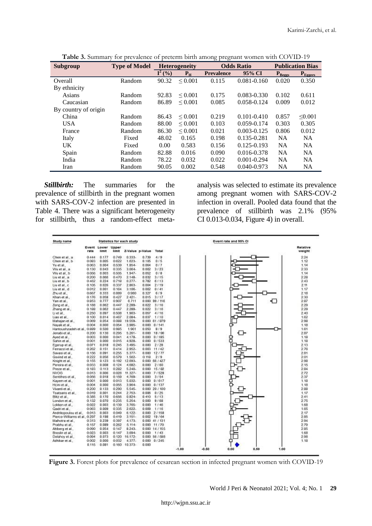| Subgroup             | <b>Type of Model</b> |                               | <b>Heterogeneity</b> |                   | <b>Odds Ratio</b> | <b>Publication Bias</b> |              |
|----------------------|----------------------|-------------------------------|----------------------|-------------------|-------------------|-------------------------|--------------|
|                      |                      | $\overline{\mathbf{I}^2(\%)}$ | $P_{\rm H}$          | <b>Prevalence</b> | 95% CI            | $P_{\text{Beggs}}$      | $P_{Eegers}$ |
| Overall              | Random               | 90.32                         | ${}_{0.001}$         | 0.115             | $0.081 - 0.160$   | 0.020                   | 0.350        |
| By ethnicity         |                      |                               |                      |                   |                   |                         |              |
| Asians               | Random               | 92.83                         | ${}_{0.001}$         | 0.175             | $0.083 - 0.330$   | 0.102                   | 0.611        |
| Caucasian            | Random               | 86.89                         | ${}_{0.001}$         | 0.085             | 0.058-0.124       | 0.009                   | 0.012        |
| By country of origin |                      |                               |                      |                   |                   |                         |              |
| China                | Random               | 86.43                         | $\leq 0.001$         | 0.219             | $0.101 - 0.410$   | 0.857                   | < 0.001      |
| <b>USA</b>           | Random               | 88.00                         | ${}_{0.001}$         | 0.103             | 0.059-0.174       | 0.303                   | 0.305        |
| France               | Random               | 86.30                         | ${}_{0.001}$         | 0.021             | $0.003 - 0.125$   | 0.806                   | 0.012        |
| Italy                | Fixed                | 48.02                         | 0.165                | 0.198             | 0.135-0.281       | <b>NA</b>               | <b>NA</b>    |
| UK.                  | Fixed                | 0.00                          | 0.583                | 0.156             | $0.125 - 0.193$   | <b>NA</b>               | <b>NA</b>    |
| Spain                | Random               | 82.88                         | 0.016                | 0.090             | 0.016-0.378       | <b>NA</b>               | <b>NA</b>    |
| India                | Random               | 78.22                         | 0.032                | 0.022             | $0.001 - 0.294$   | <b>NA</b>               | <b>NA</b>    |
| Iran                 | Random               | 90.05                         | 0.002                | 0.548             | $0.040 - 0.973$   | <b>NA</b>               | <b>NA</b>    |

**Table 3.** Summary for prevalence of preterm birth among pregnant women with COVID-19

*Stillbirth:* The summaries for the prevalence of stillbirth in the pregnant women with SARS-COV-2 infection are presented in Table 4. There was a significant heterogeneity for stillbirth, thus a random-effect metaanalysis was selected to estimate its prevalence among pregnant women with SARS-COV-2 infection in overall. Pooled data found that the prevalence of stillbirth was 2.1% (95% CI 0.013-0.034, Figure 4) in overall.

| Study name                    | Statistics for each study |                            |       |               |                       |                  | Event rate and 95% CI |                    |  |  |  |
|-------------------------------|---------------------------|----------------------------|-------|---------------|-----------------------|------------------|-----------------------|--------------------|--|--|--|
|                               | rate                      | Event Lower Upper<br>limit | limit |               | Z-Value p-Value Total |                  |                       | Relative<br>weight |  |  |  |
| Chen et al a                  | 0.444                     | 0.177                      | 0.749 | $0.333 -$     | 0.739                 | 4/9              |                       | 2.24               |  |  |  |
| Chen et al., b                | 0.083                     | 0.005                      | 0.622 | $1.623 -$     | 0.105                 | 0/5              |                       | 1.12               |  |  |  |
| Yu et al                      | 0.063                     | 0.004                      | 0.539 | $1.854-$      | 0.064                 | 0.17             |                       | 1.14               |  |  |  |
| Wu et al. a                   | 0.130                     | 0.043                      | 0.335 | $3.064 -$     | 0.002                 | 3/23             |                       | 233                |  |  |  |
| Wu et al b                    | 0.056                     | 0.003                      | 0.505 | $1.947-$      | 0.052                 | 0/8              |                       | 1.14               |  |  |  |
| Liu et al. a                  | 0.200                     | 0.066                      | 0.470 | $2.148 -$     | 0.032                 | 3115             |                       | 228                |  |  |  |
| Liu et al. b                  | 0.462                     | 0.224                      | 0.718 | $0.277 -$     | 0.782                 | 8/13             |                       | 243                |  |  |  |
| Liu et al., c.                | 0.105                     | 0.026                      | 0.337 | 2.863-        | 0.004                 | 2119             |                       | 211                |  |  |  |
| Liu et al. d                  | 0.012                     | 0.001                      | 0.164 | $3.106 -$     | 0.002                 | 0/41             |                       | 1.17               |  |  |  |
| Zhu et al.                    | 0.667                     | 0.333                      | 0.889 | 0.980         | 0.327                 | 6.19             |                       | 218                |  |  |  |
| Khan et al                    | 0.176                     | 0.058                      | 0.427 | $2.421 -$     | 0.015                 | 3/17             |                       | 230                |  |  |  |
| Yan et al.                    | 0.853                     | 0.777                      | 0.907 | 6.711         |                       | $0.000$ 99 / 116 |                       | ⊓<br>287           |  |  |  |
| Zeng et al.,                  | 0.188                     | 0.062                      | 0.447 | 2.289-        | 0.022                 | 3116             |                       | 2.29               |  |  |  |
| Zhang et al                   | 0.188                     | 0.062                      | 0.447 | $2.289 -$     | 0.022                 | 3/16             |                       | 229                |  |  |  |
| Lietal                        | 0.250                     | 0.097                      | 0.508 | $1.903 -$     | 0.057                 | 4/16             |                       | 240                |  |  |  |
| Liao et al.                   | 0.100                     | 0.014                      | 0.467 | $2.084 -$     | 0.037                 | 1.110            |                       | 1.62               |  |  |  |
| Mahajan et al.,               | 0.069                     | 0.054                      | 0.088 | 19.559-       |                       | 0.00061/879      |                       | 2.98               |  |  |  |
| Navak et al                   | 0.004                     | 0.000                      | 0.054 | 3.985-        |                       | 0.000 0.141      |                       | 1.18               |  |  |  |
| Hantoushzadeh et al., 0.889   |                           | 0.500                      | 0.985 | 1961          | 0.050                 | 8/9              |                       | 1.61               |  |  |  |
| Jenabi et al                  | 0.200                     | 0.130                      | 0.295 | $5.261 -$     | 0.000                 | 18/90            |                       | 2.87               |  |  |  |
| Aved et al.,                  | 0.003                     | 0.000                      | 0.041 | $4.178-$      | 0.000                 | 0/185            | ዩ                     | 1.18               |  |  |  |
| Sahin et al.                  | 0.001                     | 0.000                      | 0.015 | $4.928-$      | 0.000                 | 0/533            |                       | 1.18               |  |  |  |
| Egerup et al.,                | 0.071                     | 0.018                      | 0.245 | $3.495 -$     | 0.000                 | 2/28             |                       | 2.13               |  |  |  |
| Ferrazzi et al                | 0.262                     | 0.151                      | 0.414 | $2.952-$      | 0.003                 | 11/42            |                       | 276                |  |  |  |
| Savasi et al.,                | 0.156                     | 0.091                      | 0.255 | $5.377-$      |                       | 0.000112177      |                       | 281                |  |  |  |
| Govind et al.                 | 0.222                     | 0.058                      | 0.579 | $1.582 -$     | 0.118                 | 2/9              |                       | 2.01               |  |  |  |
| Knight et al.,                | 0.155                     | 0.123                      | 0.192 | 12.693-       |                       | 0.00068/427      |                       | 2.98               |  |  |  |
| Pereira et al.                | 0.033                     | 0.008                      | 0.124 | 4.682-        |                       | 0.000 2/60       |                       | 2.15               |  |  |  |
| Preze et al.                  | 0.183                     | 0.113                      | 0.282 | $5.240 -$     |                       | $0.000$ 15/82    |                       | 284                |  |  |  |
| <b>M/OG</b>                   | 0.013                     | 0.006                      | 0.028 | 11.327-       |                       | 0 000 7 / 528    |                       | 2.72               |  |  |  |
| Sentifies et al.,             | 0.056                     | 0.018                      | 0.159 | 4.769-        | 0.000                 | 3/54             |                       | 2.37               |  |  |  |
| Kayem et al.,                 | 0.001                     | 0.000                      | 0.013 | 5.032-        |                       | 0.000 0.617      |                       | 1.18               |  |  |  |
| Heini et al.                  | 0.004                     | 0.000                      | 0.055 | 3.964-        |                       | 0 000 0 / 137    |                       | 1.18               |  |  |  |
| Vivanti et al.                | 0.200                     | 0.133                      | 0.290 | 6.646-        |                       | $0.000$ 20 / 100 |                       | 2.88               |  |  |  |
| Tsatsans et al.               | 0.019                     | 0.001                      | 0.244 | $2.753-$      | 0.006                 | 0.125            |                       | 1.17               |  |  |  |
| Bizz et al.                   | 0.385                     | 0.170                      | 0.656 | $0.824 -$     | 0410                  | 5/13             |                       | 2.41               |  |  |  |
| London et al.,                | 0.132                     | 0.070                      | 0.235 | 5.254-        | 0.000                 | 9/88             |                       | 275                |  |  |  |
| Lokken et al                  | 0.022                     | 0.003                      | 0.139 | 3.765-        | 0.000                 | 1/45             |                       | 1.68               |  |  |  |
| Qadri et al                   | 0.063                     | 0.009                      | 0.335 | $2.622 -$     | 0.009                 | 1/16             |                       | 1.65               |  |  |  |
| Andrikopoulou et al.          | 0013                      | 0.003                      | 0.049 | $6.122 -$     |                       | 0 000 2 / 158    |                       | 217                |  |  |  |
| Pierce-Williams et al., 0.297 |                           | 0.198                      | 0.419 | $3.151 -$     |                       | 0 002 19 / 64    |                       | 285                |  |  |  |
| Mahotra et al.                | 0313                      | 0.239                      | 0.397 | $4.173-$      |                       | $0.000$ 41 / 131 |                       | 294                |  |  |  |
| Prabhu et al.,                | 0.157                     | 0.089                      | 0.262 | $5.114-$      |                       | 0.000 11/70      |                       | 2.79               |  |  |  |
| Ahberg et al.                 | 0.090                     | 0.054                      | 0.147 | $8.243-$      |                       | 0.000 14 / 155   |                       | 285                |  |  |  |
| Breslin et al                 | 0.023                     | 0.003                      | 0.147 | $3.694-$      |                       | 0.000 1/43       |                       | 1.68               |  |  |  |
| Delahoy et al.                | 0.094                     | 0.073                      | 0.120 | 16.172-       |                       | 0 000 56 / 588   |                       | 2.98               |  |  |  |
| Adhikar et al.,               | 0.002                     | 0.000                      | 0.032 | $4.377-$      |                       | 0.000 0/245      |                       | 1.18               |  |  |  |
|                               | 0.115                     | 0.081                      |       | 0.160 10.373- | 0.000                 |                  |                       |                    |  |  |  |

Figure 3. Forest plots for prevalence of cesarean section in infected pregnant women with COVID-19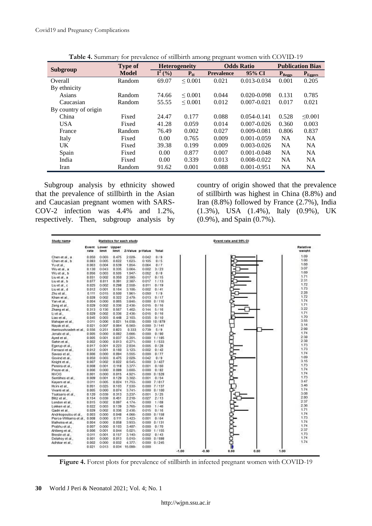|                      | <b>Type of</b> |           | <b>Heterogeneity</b> | $\overline{\phantom{a}}$ | <b>Odds Ratio</b> | <b>Publication Bias</b> |              |  |
|----------------------|----------------|-----------|----------------------|--------------------------|-------------------|-------------------------|--------------|--|
| Subgroup             | <b>Model</b>   | $I^2($ %) | P <sub>H</sub>       | <b>Prevalence</b>        | 95% CI            | $P_{\text{Beggs}}$      | $P_{Egeers}$ |  |
| Overall              | Random         | 69.07     | ${}_{0.001}$         | 0.021                    | $0.013 - 0.034$   | 0.001                   | 0.205        |  |
| By ethnicity         |                |           |                      |                          |                   |                         |              |  |
| Asians               | Random         | 74.66     | ${}_{0.001}$         | 0.044                    | $0.020 - 0.098$   | 0.131                   | 0.785        |  |
| Caucasian            | Random         | 55.55     | ${}_{0.001}$         | 0.012                    | $0.007 - 0.021$   | 0.017                   | 0.021        |  |
| By country of origin |                |           |                      |                          |                   |                         |              |  |
| China                | Fixed          | 24.47     | 0.177                | 0.088                    | $0.054 - 0.141$   | 0.528                   | $\leq 0.001$ |  |
| <b>USA</b>           | Fixed          | 41.28     | 0.059                | 0.014                    | $0.007 - 0.026$   | 0.360                   | 0.003        |  |
| France               | Random         | 76.49     | 0.002                | 0.027                    | $0.009 - 0.081$   | 0.806                   | 0.837        |  |
| Italy                | Fixed          | 0.00      | 0.765                | 0.009                    | $0.001 - 0.059$   | <b>NA</b>               | <b>NA</b>    |  |
| <b>UK</b>            | Fixed          | 39.38     | 0.199                | 0.009                    | $0.003 - 0.026$   | <b>NA</b>               | <b>NA</b>    |  |
| Spain                | Fixed          | 0.00      | 0.877                | 0.007                    | $0.001 - 0.048$   | <b>NA</b>               | <b>NA</b>    |  |
| India                | Fixed          | 0.00      | 0.339                | 0.013                    | $0.008 - 0.022$   | <b>NA</b>               | <b>NA</b>    |  |
| Iran                 | Random         | 91.62     | 0.001                | 0.088                    | $0.001 - 0.951$   | <b>NA</b>               | <b>NA</b>    |  |

**Table 4.** Summary for prevalence of stillbirth among pregnant women with COVID-19

Subgroup analysis by ethnicity showed that the prevalence of stillbirth in the Asian and Caucasian pregnant women with SARS-COV-2 infection was 4.4% and 1.2%, respectively. Then, subgroup analysis by

country of origin showed that the prevalence of stillbirth was highest in China (8.8%) and Iran (8.8%) followed by France (2.7%), India (1.3%), USA (1.4%), Italy (0.9%), UK (0.9%), and Spain (0.7%).

| Study name                    | Statistics for each study |                             |                 |                    |                 |                   | Event rate and 95% CI |                    |  |  |  |
|-------------------------------|---------------------------|-----------------------------|-----------------|--------------------|-----------------|-------------------|-----------------------|--------------------|--|--|--|
|                               | rate                      | Event Lower<br><b>Bimit</b> | Upper<br>limit. |                    | Z-Value p-Value | Total             |                       | Relative<br>weight |  |  |  |
| Chen et al., a                | 0.050                     | 0.003                       | 0.475           | 2.029.             | 0.042           | 0/9               |                       | 1.69               |  |  |  |
| Chen et al., b                | 0.083                     | 0.005                       | 0.622           | $1.623 -$          | 0.105           | 0/5               |                       | 1.66               |  |  |  |
| Yuetal                        | 0.063                     | 0.004                       | 0.539           | 1.854-             | 0.064           | 0.57              |                       | 1.68               |  |  |  |
| Wuetal.a                      | 0.130                     | 0.043                       | 0.335           | 3.064.             | 0.002           | 3/23              |                       | 3.07               |  |  |  |
| Wuet al., b.                  | 0.056                     | 0.003                       | 0.505           | $1.947 -$          | 0.052           | 0/8               |                       | 1.69               |  |  |  |
| Liu et al., a                 | 0.031                     | 0.002                       | 0.350           | 2390.              | 0.017           | 0/15              |                       | 1.71               |  |  |  |
| Liu et al., b                 | 0.077                     | 0.011                       | 0.391           | $2387 -$           | 0.017           | 1/13              |                       | 231                |  |  |  |
| Liu et al., c                 | 0.025                     | 0.002                       | 0.298           | 2558-              | 0.011           | 0/19              |                       | 1.72               |  |  |  |
| Liu et al., d                 | 0.012                     | 0.001                       | 0.164           | 3.106-             | 0.002           | 0/41              |                       | 1.73               |  |  |  |
| Zhu et al                     | 0.111                     | 0015                        | 0.500           | $1.961 -$          | 0.050           | 119               |                       | 228                |  |  |  |
| Khan et al.                   | 0.028                     | 0.002                       | 0.322           | 2.479.             | 0.013           | 0/17              |                       | 1.72               |  |  |  |
| Yan et al.                    | 0.004                     | 0.000                       | 0.065           | 3.846-             | 0.000           | 0/116             |                       | 1.74               |  |  |  |
| Zeng et al                    | 0.029                     | 0.002                       | 0.336           | $2436-$            | 0.015           | 0.116             |                       | 1.71               |  |  |  |
| Zhang et al.                  | 0.313                     | 0.136                       | 0.567           | 1.462-             | 0.144           | 5/16              |                       | 3.22               |  |  |  |
| Lietal.                       | 0.029                     | 0.002                       | 0.336           | $2438 -$           | 0.015           | 0.116             |                       | 1.71               |  |  |  |
| Liso et al                    | 0.045                     | 0.003                       | 0.448           | 2.103-             | 0.035           | 0/10              |                       | 1.70               |  |  |  |
| Mahajan et al.,               | 0.011                     | 0.006                       | 0.021           | 14.038             |                 | 0.000 10/879      |                       | 3.65               |  |  |  |
| Navak et al.                  | 0.021                     | 0.007                       | 0.064           | 6.560-             |                 | $0.0001 - 3.1141$ |                       | 3.14               |  |  |  |
| Hantoushzadeh et al. 0.556    |                           | 0.251                       | 0.823           | 0.333              | 0.739           | 519               |                       | 2.98               |  |  |  |
| Jenabi et al.                 | 0.005                     | 0.000                       | 0.082           | 3.666-             | 0.000           | 0/90              |                       | 1.74               |  |  |  |
| Ayed et al.                   | 0.005                     | 0.001                       | 0.037           | $5.201 -$          |                 | 0.000 1/185       |                       | 2.38               |  |  |  |
| Sahin et al.,                 | 0.002                     | 0.000                       | 0.013           | 6.271-             |                 | 0.000 1/533       |                       | 238                |  |  |  |
| Egenup et al.,                | 0.017                     | 0.001                       | 0.223           | 2834               | 0.005           | 0/28              |                       | 1.73               |  |  |  |
| Ferrazzi et al.               | 0.012                     | 0.001                       | 0.160           | $3.123 -$          | 0.002           | 0/42              |                       | 1.73               |  |  |  |
| Savasi et al.                 | 0.006                     | 0.000                       | 0.094           | 3.555-             | 0000            | 0/77              |                       | 174                |  |  |  |
| Govind et al                  | 0.050                     | 0.003                       | 0.475           | 2.029-             | 0.042           | 0/9               |                       | 1.69               |  |  |  |
| Knight et al.,                | 0.007                     | 0.002                       | 0.022           | 8.545.             |                 | 0.000 3/427       |                       | 3.15               |  |  |  |
| Pereira et al.,               | 0.008                     | 0.001                       | 0.118           | $3377 -$           | 0.001           | 0/60              |                       | 1.73               |  |  |  |
| Preze et al                   | 0.006                     | 0.000                       | 0.089           | 3.600.             | 0.000           | 0/82              |                       | 1.74               |  |  |  |
| NVOG                          |                           | 0.000                       | 0.015           | $4.921 -$          |                 | 0.0000001528      |                       | 1.74               |  |  |  |
| Sentihes et al.               | 0.001<br>0.009            | 0.001                       | 0.129           | 3.302-             | 0.001           | 0.154             |                       | 173                |  |  |  |
|                               | 0.011                     | 0.005                       | 0.024           | 11.753-            |                 | 0.000 7/617       |                       | 3.47               |  |  |  |
| Kayern et al.                 |                           |                             |                 | 7.530-             |                 | 7/137             |                       | 3.46               |  |  |  |
| Hoini et al.                  | 0.051<br>0.005            | 0.025<br>0.000              | 0.103<br>0.074  | $3.741 -$          | 0000            | 0.0000010100      |                       | 1.74               |  |  |  |
| Vivanti et al.                |                           | 0.039                       | 0.313           | $3.237 -$          | 0.001           |                   |                       | 3.08               |  |  |  |
| Tsatsaris et al.:             | 0.120                     |                             |                 |                    |                 | 3/25              |                       | 280                |  |  |  |
| Blitz et al.                  | 0.154<br>0.015            | 0.039<br>0.002              | 0.451<br>0.097  | 2.218-<br>$4.174-$ | 0.027<br>0.000  | 2/13<br>1/68      |                       | 237                |  |  |  |
| London et al.                 |                           |                             |                 |                    |                 |                   |                       | 238                |  |  |  |
| Lokken et al.                 | 0.022                     | 0.003                       | 0.139           | 3.765-             | 0000            | 1/45              |                       | 1.71               |  |  |  |
| Qadri et al.                  | 0.029                     | 0.002                       | 0.336           | 2.436.             | 0.015           | 0/16              |                       | 1.74               |  |  |  |
| Andrikopoulou et al           | 0.003                     | 0000                        | 0.048           | 4.066-             |                 | 0.0000001158      |                       | 173                |  |  |  |
| Pierce-Williams et al., 0.008 |                           | 0.000                       | 0.111           | $3.423 -$          | 0.001           | 0/64              |                       | 1.74               |  |  |  |
| Malhotra et al                | 0.004                     | 0.000                       | 0.058           | 3.933              | 0.000           | 0/131             |                       | 1.74               |  |  |  |
| Prabhu et al.,                | 0.007                     | 0.000                       | 0.103           | $3.487 -$          | 0000            | 0/70              |                       | 2.37               |  |  |  |
| Ahlberg et al.,               | 0.006                     | 0.001                       | 0.044           | $6.021 -$          | 0.000           | 1/155             |                       | 1.73               |  |  |  |
| Breslin et al.                | 0.011                     | 0.001                       | 0.157           | $3140 -$           | 0.007           | 0/43              |                       | 1.74               |  |  |  |
| Delahoy et al.,               | 0.001                     | 0.000                       | 0.013           | 5010-              |                 | 0.0000001598      | ę                     | 1.74               |  |  |  |
| Adhikar et al.                | 0.002                     | 0.000                       | 0.032           | $4.377-$           |                 | 0.000 0/245       |                       |                    |  |  |  |
|                               | 0.021                     | 0.013                       | 0.034           | 15.099-            | 0000            |                   | $-0.50$<br>1.00       |                    |  |  |  |

**Figure 4.** Forest plots for prevalence of stillbirth in infected pregnant women with COVID-19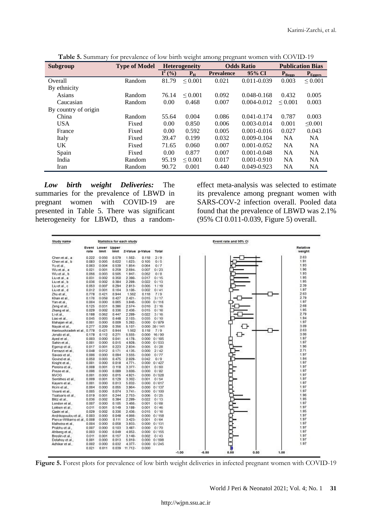|                      |                      |                               | $\circ$              | ○ 1<br>$\circ$    |                   |                     |                         |
|----------------------|----------------------|-------------------------------|----------------------|-------------------|-------------------|---------------------|-------------------------|
| Subgroup             | <b>Type of Model</b> |                               | <b>Heterogeneity</b> |                   | <b>Odds Ratio</b> |                     | <b>Publication Bias</b> |
|                      |                      | $\overline{\mathbf{I}^2(\%)}$ | $P_{\rm H}$          | <b>Prevalence</b> | 95% CI            | $P_{\text{Beeggs}}$ | $P_{Eegers}$            |
| Overall              | Random               | 81.79                         | ${}_{0.001}$         | 0.021             | $0.011 - 0.039$   | 0.003               | $\leq 0.001$            |
| By ethnicity         |                      |                               |                      |                   |                   |                     |                         |
| Asians               | Random               | 76.14                         | ${}_{0.001}$         | 0.092             | $0.048 - 0.168$   | 0.432               | 0.005                   |
| Caucasian            | Random               | 0.00                          | 0.468                | 0.007             | $0.004 - 0.012$   | ${}_{0.001}$        | 0.003                   |
| By country of origin |                      |                               |                      |                   |                   |                     |                         |
| China                | Random               | 55.64                         | 0.004                | 0.086             | $0.041 - 0.174$   | 0.787               | 0.003                   |
| <b>USA</b>           | Fixed                | 0.00                          | 0.850                | 0.006             | $0.003 - 0.014$   | 0.001               | < 0.001                 |
| France               | Fixed                | 0.00                          | 0.592                | 0.005             | $0.001 - 0.016$   | 0.027               | 0.043                   |
| Italy                | Fixed                | 39.47                         | 0.199                | 0.032             | $0.009 - 0.104$   | <b>NA</b>           | <b>NA</b>               |
| <b>UK</b>            | Fixed                | 71.65                         | 0.060                | 0.007             | $0.001 - 0.052$   | <b>NA</b>           | <b>NA</b>               |
| Spain                | Fixed                | 0.00                          | 0.877                | 0.007             | $0.001 - 0.048$   | <b>NA</b>           | <b>NA</b>               |
| India                | Random               | 95.19                         | ${}_{0.001}$         | 0.017             | $0.001 - 0.910$   | <b>NA</b>           | <b>NA</b>               |
| Iran                 | Random               | 90.72                         | 0.001                | 0.440             | 0.049-0.923       | <b>NA</b>           | <b>NA</b>               |

**Table 5.** Summary for prevalence of low birth weight among pregnant women with COVID-19

*Low birth weight Deliveries:* The summaries for the prevalence of LBWD in pregnant women with COVID-19 are presented in Table 5. There was significant heterogeneity for LBWD, thus a randomeffect meta-analysis was selected to estimate its prevalence among pregnant women with SARS-COV-2 infection overall. Pooled data found that the prevalence of LBWD was 2.1% (95% CI 0.011-0.039, Figure 5) overall.

| Study name                    |                |                                          |                | Statistics for each study |                | Event rate and 95% CI       |  |                    |  |  |  |  |
|-------------------------------|----------------|------------------------------------------|----------------|---------------------------|----------------|-----------------------------|--|--------------------|--|--|--|--|
|                               | rate           | <b>Event Lower Upper</b><br><b>Banat</b> | limit          | Z-Value p-Value           |                | Total                       |  | Relative<br>weight |  |  |  |  |
| Chen et al., a                | 0.222          | 0.056                                    | 0.679          | 1.562-                    | 0.118          | 2/9                         |  | 283                |  |  |  |  |
| Chen et al., b                | 0.083          | 0.005                                    | 0.622          | $1.623 -$                 | 0.105          | 0/5                         |  | 1.91               |  |  |  |  |
| Yuet al.,                     | 0.063          | 0.004                                    | 0.539          | 1.854-                    | 0.064          | 0/7                         |  | 193                |  |  |  |  |
| Wuetala                       | 0.021          | 0.001                                    | 0.259          | 2.694-                    | 0.007          | 0/23                        |  | 1.96               |  |  |  |  |
| Wuet al., b                   | 0.056          | 0.003                                    | 0.505          | $1.947 -$                 | 0.052          | 0/8                         |  | 1.93               |  |  |  |  |
| Liu et al., a                 | 0.031          | 0.002                                    | 0.350          | 2.390-                    | 0.017          | 0/15                        |  | 1.95               |  |  |  |  |
| Liu et al., b                 | 0.038          | 0.002                                    | 0.384          | 2.289-                    | 0.022          | 0/13                        |  | 1.95               |  |  |  |  |
| Liu et al., c                 | 0.053          | 0.007                                    | 0.294          | $2.813-$                  | 0.005          | 1/19                        |  | 2 3 9              |  |  |  |  |
| Liu et al., d                 | 0.012          | 0.001                                    | 0.164          | $3.106 -$                 | 0.002          | 0/41                        |  | 1.97               |  |  |  |  |
| Zhu et al                     | 0.778          | 0.421                                    | 0.944          | 1562                      | 0.118          | 719                         |  | 263                |  |  |  |  |
| Khan et al.                   | 0.176          | 0.058                                    | 0.427          | $2.421 -$                 | 0.015          | 3/17                        |  | 2.79               |  |  |  |  |
| Yan et al.,                   | 0.004          | 0.000                                    | 0.065          | $3.846-$                  |                | $0.000$ $0/118$             |  | 1.97               |  |  |  |  |
| Zeng et al.                   | 0.125          | 0.031                                    | 0.386          | $2.574-$                  | 0.010          | 2/16                        |  | 2.68               |  |  |  |  |
| Zhang et al.                  | 0.029          | 0.002                                    | 0.336          | $2.438-$                  | 0.015          | 0/16                        |  | 1.95               |  |  |  |  |
| Lietal.                       | 0.188          | 0.062                                    | 0.447          | 2.289-                    | 0.022          | 3/16                        |  | 279                |  |  |  |  |
| Liso et al.,                  | 0.045          | 0.003                                    | 0.449          | $2.103 -$                 | 0.035          | 0/10                        |  | 1.94               |  |  |  |  |
| Mahajan et al.,               | 0.001          | 0.000                                    | 0.009          | 5.282-                    |                | 0.000 0/879                 |  | 1.97               |  |  |  |  |
| Navak et al.                  | 0.277          | 0.209                                    | 0.356          | $5.107 -$                 |                | 0.000.39 / 141              |  | 3.09               |  |  |  |  |
| Hantoushzadeh et al., 0.779   |                | 0.421                                    | 0.944          | 1.662                     | 0.118          | 719.                        |  | 2.63               |  |  |  |  |
| Jensbi et al.                 | 0.178          | 0.112                                    | 0.271          | 5.555-                    | 0000           | 16/90                       |  | 3.06               |  |  |  |  |
| Aved et al.                   | 0.003          | 0.000                                    | 0.041          | 4.178-                    | 0000           | 0/185                       |  | 1.97               |  |  |  |  |
| Sahin et al.,                 | 0.001          | 0.000                                    | 0.015          | $4.928 -$                 |                | 0.0000001633                |  | 1.97               |  |  |  |  |
| Egerup et al.,                | 0.017          | 0.001                                    | 0.223          | $2.834-$                  | 0.005          | 0/28                        |  | 196                |  |  |  |  |
| Ferrazzi et al.               | 0.048          | 0.012                                    | 0.171          | $4.135-$                  | 0.000          | 2142                        |  | 271                |  |  |  |  |
| Savasi et al.                 | 0.006          | 0.000                                    | 0.094          | $3.555 -$                 | 0000           | 0/77                        |  | 1.97               |  |  |  |  |
| Govind et al                  | 0.060          | 0.003                                    | 0.475          | $2.029 -$                 | 0.042          | 0/9                         |  | 1.94               |  |  |  |  |
| Knight et al.,                | 0.001          | 0.000                                    | 0.018          | $4.771-$                  | 0.000          | 0/427                       |  | 1.97               |  |  |  |  |
| Pereira et al                 | 0.008          | 0.001                                    | 0.118          | $3.377 -$                 | 0.001          | 0/60                        |  | 1.97               |  |  |  |  |
| Preze et al.,                 | 0.006          | 0.000                                    | 0.089          | $3.600 -$                 | 0.000          | 0/82                        |  | 1.97               |  |  |  |  |
| NVOG                          | 0.001          | 0.000                                    | 0.015          | $4.921 -$                 |                | 0.000 0/528                 |  | 197                |  |  |  |  |
| Sentihes et al.               | 0.009          | 0.001                                    | 0.129          | 3.302-                    | 0.001          | 0/54                        |  | 1.97<br>1.97       |  |  |  |  |
| Kayem et al.                  | 0.001          | 0.000                                    | 0.013          | $5.032 -$                 |                | 0.0000001617                |  | 1.97               |  |  |  |  |
| Hoini et al.                  | 0.004          | 0000                                     | 0.055          | 3.964-                    |                | 0.000001137                 |  | 1.97               |  |  |  |  |
| Vivanti et al.                | 0.005          | 0.000                                    | 0.074          | $3.741 -$                 |                | 0.000001100                 |  | 1.96               |  |  |  |  |
| Tsatsaris et al.              | 0.019          | 0.001                                    | 0.244          | $2.753-$                  | 0.006          | 0/25                        |  | 1.95               |  |  |  |  |
| Blitz et al.                  | 0.036          | 0.002                                    | 0.384          | 2.289-                    | 0.022          | 0/13                        |  | 1.97               |  |  |  |  |
| London et al.                 | 0.007          | 0.000<br>0.001                           | 0.105          | $3.466-$<br>3.188-        | 0.001<br>0.001 | 0/68<br>0/46                |  | 1.97               |  |  |  |  |
| Lokken et al.                 | 0.011          |                                          | 0.149          |                           |                |                             |  | 1.95               |  |  |  |  |
| Qadri et al                   | 0.029          | 0.002                                    | 0.336          | $2.438 -$                 | 0.015          | 0/16                        |  | 197                |  |  |  |  |
| Andrikopoulou et al           | 0.003          | 0.000                                    | 0.048          | 4.066-                    |                | $0.000 \cdot 0.158$<br>0/64 |  | 1.97               |  |  |  |  |
| Pierce-Williams et al., 0.008 |                | 0.000                                    | 0.111          | $3.423 -$                 | 0.001          |                             |  | 1.97               |  |  |  |  |
| Malhotra et al.,              | 0.004          | 0.000                                    | 0.059          | $3.933-$                  |                | 0.000001131                 |  | 1.97               |  |  |  |  |
| Prabhu et al.,                | 0.007          | 0.000                                    | 0.103          | $3.487 -$                 | 0000           | 0/70<br>0.000 0/155         |  | 1.97               |  |  |  |  |
| Ahlberg et al.,               | 0.003          | 0.000<br>0.001                           | 0.049          | 4.062-<br>$3140-$         |                | 0/43                        |  | 1.97               |  |  |  |  |
| Breslin et al.,               | 0.011          |                                          | 0.157          |                           | 0.002          |                             |  | 1.97               |  |  |  |  |
| Delahoy et al.,               | 0.001          | 0.000                                    | 0.013          | $5.010 -$                 |                | $0.000 \cdot 0/598$         |  | 1.97               |  |  |  |  |
| Adhikar et al.                | 0.002<br>0.021 | 0.000<br>0.011                           | 0.032<br>0.039 | $4.377-$<br>$11.712-$     | 0000           | 0.000 0/245                 |  |                    |  |  |  |  |

**Figure 5.** Forest plots for prevalence of low birth weight deliveries in infected pregnant women with COVID-19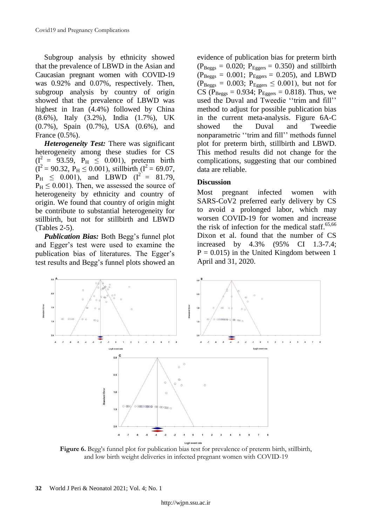Subgroup analysis by ethnicity showed that the prevalence of LBWD in the Asian and Caucasian pregnant women with COVID-19 was 0.92% and 0.07%, respectively. Then, subgroup analysis by country of origin showed that the prevalence of LBWD was highest in Iran (4.4%) followed by China (8.6%), Italy (3.2%), India (1.7%), UK (0.7%), Spain (0.7%), USA (0.6%), and France (0.5%).

*Heterogeneity Test:* There was significant heterogeneity among these studies for CS  $(I^2 = 93.59, P_H \le 0.001)$ , preterm birth  $(I^2 = 90.32, P_H \le 0.001)$ , stillbirth  $(I^2 = 69.07,$  $P_{\text{H}} \leq 0.001$ ), and LBWD ( $I^2 = 81.79$ ,  $P_H \leq 0.001$ ). Then, we assessed the source of heterogeneity by ethnicity and country of origin. We found that country of origin might be contribute to substantial heterogeneity for stillbirth, but not for stillbirth and LBWD (Tables 2-5).

*Publication Bias:* Both Begg's funnel plot and Egger's test were used to examine the publication bias of literatures. The Egger's test results and Begg's funnel plots showed an

evidence of publication bias for preterm birth  $(P_{\text{Beggs}} = 0.020; P_{\text{Eggers}} = 0.350)$  and stillbirth  $(P_{\text{Beggs}} = 0.001; P_{\text{Eggers}} = 0.205)$ , and LBWD  $(P_{\text{Beggs}} = 0.003; P_{\text{Eggers}} \leq 0.001)$ , but not for CS ( $P_{\text{Beggs}} = 0.934$ ;  $P_{\text{Eggers}} = 0.818$ ). Thus, we used the Duval and Tweedie ''trim and fill'' method to adjust for possible publication bias in the current meta-analysis. Figure 6A-C showed the Duval and Tweedie nonparametric ''trim and fill'' methods funnel plot for preterm birth, stillbirth and LBWD. This method results did not change for the complications, suggesting that our combined data are reliable.

# **Discussion**

Most pregnant infected women with SARS-CoV2 preferred early delivery by CS to avoid a prolonged labor, which may worsen COVID-19 for women and increase the risk of infection for the medical staff.<sup>65,66</sup> Dixon et al. found that the number of CS increased by 4.3% (95% CI 1.3-7.4;  $P = 0.015$ ) in the United Kingdom between 1 April and 31, 2020.



**Figure 6.** Begg's funnel plot for publication bias test for prevalence of preterm birth, stillbirth, and low birth weight deliveries in infected pregnant women with COVID-19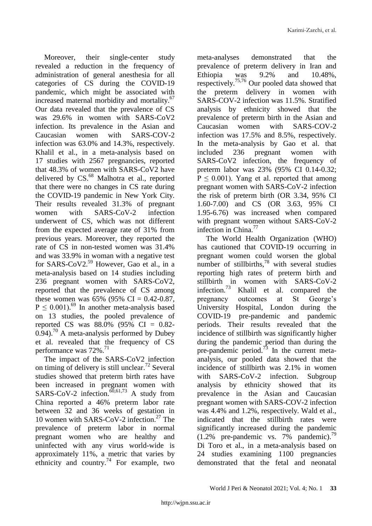Moreover, their single-center study revealed a reduction in the frequency of administration of general anesthesia for all categories of CS during the COVID-19 pandemic, which might be associated with increased maternal morbidity and mortality.<sup>67</sup> Our data revealed that the prevalence of CS was 29.6% in women with SARS-CoV2 infection. Its prevalence in the Asian and Caucasian women with SARS-COV-2 infection was 63.0% and 14.3%, respectively. Khalil et al., in a meta-analysis based on 17 studies with 2567 pregnancies, reported that 48.3% of women with SARS-CoV2 have delivered by CS.<sup>68</sup> Malhotra et al., reported that there were no changes in CS rate during the COVID-19 pandemic in New York City. Their results revealed 31.3% of pregnant women with SARS-CoV-2 infection underwent of CS, which was not different from the expected average rate of 31% from previous years. Moreover, they reported the rate of CS in non-tested women was 31.4% and was 33.9% in woman with a negative test for SARS-CoV2. <sup>59</sup> However, Gao et al., in a meta-analysis based on 14 studies including 236 pregnant women with SARS-CoV2, reported that the prevalence of CS among these women was  $65\%$  (95% CI = 0.42-0.87,  $P \leq 0.001$ ).<sup>69</sup> In another meta-analysis based on 13 studies, the pooled prevalence of reported CS was 88.0% (95% CI = 0.82-  $0.94$ ).<sup>70</sup> A meta-analysis performed by Dubey et al. revealed that the frequency of CS performance was 72%.<sup>71</sup>

The impact of the SARS-CoV2 infection on timing of delivery is still unclear.<sup>72</sup> Several studies showed that preterm birth rates have been increased in pregnant women with SARS-CoV-2 infection.<sup> $\overline{60,61,73}$ </sup> A study from China reported a 46% preterm labor rate between 32 and 36 weeks of gestation in 10 women with SARS-CoV-2 infection. <sup>27</sup> The prevalence of preterm labor in normal pregnant women who are healthy and uninfected with any virus world-wide is approximately 11%, a metric that varies by ethnicity and country.<sup>74</sup> For example, two meta-analyses demonstrated that the prevalence of preterm delivery in Iran and Ethiopia was 9.2% and 10.48%, respectively. 75,76 Our pooled data showed that the preterm delivery in women with SARS-COV-2 infection was 11.5%. Stratified analysis by ethnicity showed that the prevalence of preterm birth in the Asian and Caucasian women with SARS-COV-2 infection was 17.5% and 8.5%, respectively. In the meta-analysis by Gao et al. that included 236 pregnant women with SARS-CoV2 infection, the frequency of preterm labor was 23% (95% CI 0.14-0.32;  $P \le 0.001$ ). Yang et al. reported that among pregnant women with SARS-CoV-2 infection the risk of preterm birth (OR 3.34, 95% CI 1.60-7.00) and CS (OR 3.63, 95% CI 1.95-6.76) was increased when compared with pregnant women without SARS-CoV-2 infection in China. 77

The World Health Organization (WHO) has cautioned that COVID-19 occurring in pregnant women could worsen the global number of stillbirths, $78$  with several studies reporting high rates of preterm birth and stillbirth in women with SARS-CoV-2 infection.<sup>73</sup> Khalil et al. compared the pregnancy outcomes at St George's University Hospital, London during the COVID-19 pre-pandemic and pandemic periods. Their results revealed that the incidence of stillbirth was significantly higher during the pandemic period than during the pre-pandemic period.<sup>73</sup> In the current metaanalysis, our pooled data showed that the incidence of stillbirth was 2.1% in women with SARS-CoV-2 infection. Subgroup analysis by ethnicity showed that its prevalence in the Asian and Caucasian pregnant women with SARS-COV-2 infection was 4.4% and 1.2%, respectively. Wald et al., indicated that the stillbirth rates were significantly increased during the pandemic (1.2% pre-pandemic vs. 7% pandemic). 79 Di Toro et al., in a meta-analysis based on 24 studies examining 1100 pregnancies demonstrated that the fetal and neonatal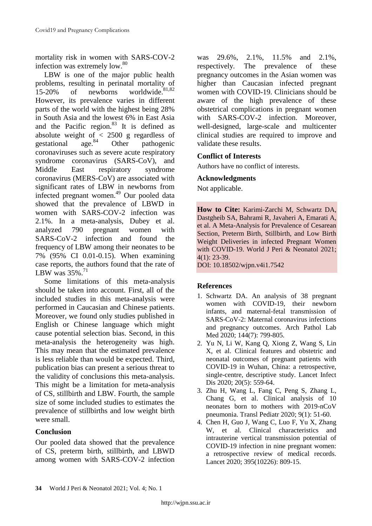mortality risk in women with SARS-COV-2 infection was extremely low.<sup>80</sup>

LBW is one of the major public health problems, resulting in perinatal mortality of 15-20% of newborns worldwide. 81,82 However, its prevalence varies in different parts of the world with the highest being 28% in South Asia and the lowest 6% in East Asia and the Pacific region. <sup>83</sup> It is defined as absolute weight of  $\langle 2500 \text{ g} \rangle$  regardless of gestational age.<sup>84</sup> Other pathogenic gestational Other pathogenic coronaviruses such as severe acute respiratory syndrome coronavirus (SARS-CoV), and Middle East respiratory syndrome coronavirus (MERS-CoV) are associated with significant rates of LBW in newborns from infected pregnant women. <sup>49</sup> Our pooled data showed that the prevalence of LBWD in women with SARS-COV-2 infection was 2.1%. In a meta-analysis, Dubey et al. analyzed 790 pregnant women with SARS-CoV-2 infection and found the frequency of LBW among their neonates to be 7% (95% CI 0.01-0.15). When examining case reports, the authors found that the rate of LBW was 35%.<sup>71</sup>

Some limitations of this meta-analysis should be taken into account. First, all of the included studies in this meta-analysis were performed in Caucasian and Chinese patients. Moreover, we found only studies published in English or Chinese language which might cause potential selection bias. Second, in this meta-analysis the heterogeneity was high. This may mean that the estimated prevalence is less reliable than would be expected. Third, publication bias can present a serious threat to the validity of conclusions this meta-analysis. This might be a limitation for meta-analysis of CS, stillbirth and LBW. Fourth, the sample size of some included studies to estimates the prevalence of stillbirths and low weight birth were small.

# **Conclusion**

Our pooled data showed that the prevalence of CS, preterm birth, stillbirth, and LBWD among women with SARS-COV-2 infection was 29.6%, 2.1%, 11.5% and 2.1%, respectively. The prevalence of these pregnancy outcomes in the Asian women was higher than Caucasian infected pregnant women with COVID-19. Clinicians should be aware of the high prevalence of these obstetrical complications in pregnant women with SARS-COV-2 infection. Moreover, well-designed, large-scale and multicenter clinical studies are required to improve and validate these results.

# **Conflict of Interests**

Authors have no conflict of interests.

## **Acknowledgments**

Not applicable.

**How to Cite:** Karimi-Zarchi M, Schwartz DA, Dastgheib SA, Bahrami R, Javaheri A, Emarati A, et al. A Meta-Analysis for Prevalence of Cesarean Section, Preterm Birth, Stillbirth, and Low Birth Weight Deliveries in infected Pregnant Women with COVID-19. World J Peri & Neonatol 2021; 4(1): 23-39.

DOI: 10.18502/wjpn.v4i1.7542

# **References**

- 1. Schwartz DA. An analysis of 38 pregnant women with COVID-19, their newborn infants, and maternal-fetal transmission of SARS-CoV-2: Maternal coronavirus infections and pregnancy outcomes. Arch Pathol Lab Med 2020; 144(7): 799-805.
- 2. Yu N, Li W, Kang Q, Xiong Z, Wang S, Lin X, et al. Clinical features and obstetric and neonatal outcomes of pregnant patients with COVID-19 in Wuhan, China: a retrospective, single-centre, descriptive study. Lancet Infect Dis 2020; 20(5): 559-64.
- 3. Zhu H, Wang L, Fang C, Peng S, Zhang L, Chang G, et al. Clinical analysis of 10 neonates born to mothers with 2019-nCoV pneumonia. Transl Pediatr 2020; 9(1): 51-60.
- 4. Chen H, Guo J, Wang C, Luo F, Yu X, Zhang W, et al. Clinical characteristics and intrauterine vertical transmission potential of COVID-19 infection in nine pregnant women: a retrospective review of medical records. Lancet 2020; 395(10226): 809-15.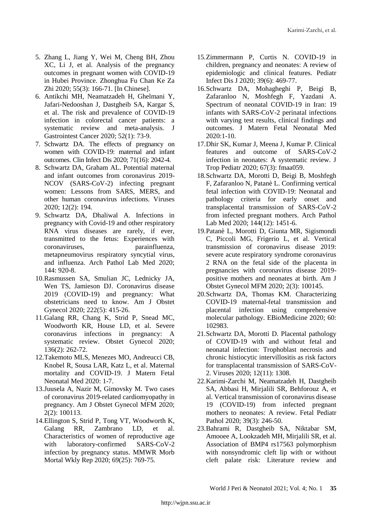- 5. Zhang L, Jiang Y, Wei M, Cheng BH, Zhou XC, Li J, et al. Analysis of the pregnancy outcomes in pregnant women with COVID-19 in Hubei Province. Zhonghua Fu Chan Ke Za Zhi 2020; 55(3): 166-71. [In Chinese].
- 6. Antikchi MH, Neamatzadeh H, Ghelmani Y, Jafari-Nedooshan J, Dastgheib SA, Kargar S, et al. The risk and prevalence of COVID-19 infection in colorectal cancer patients: a systematic review and meta-analysis. J Gastrointest Cancer 2020; 52(1): 73-9.
- 7. Schwartz DA. The effects of pregnancy on women with COVID-19: maternal and infant outcomes. Clin Infect Dis 2020; 71(16): 2042-4.
- 8. Schwartz DA, Graham AL. Potential maternal and infant outcomes from coronavirus 2019- NCOV (SARS-CoV-2) infecting pregnant women: Lessons from SARS, MERS, and other human coronavirus infections. Viruses 2020; 12(2): 194.
- 9. Schwartz DA, Dhaliwal A. Infections in pregnancy with Covid-19 and other respiratory RNA virus diseases are rarely, if ever, transmitted to the fetus: Experiences with coronaviruses, parainfluenza, metapneumovirus respiratory syncytial virus, and influenza. Arch Pathol Lab Med 2020; 144: 920-8.
- 10.Rasmussen SA, Smulian JC, Lednicky JA, Wen TS, Jamieson DJ. Coronavirus disease 2019 (COVID-19) and pregnancy: What obstetricians need to know. Am J Obstet Gynecol 2020; 222(5): 415-26.
- 11.Galang RR, Chang K, Strid P, Snead MC, Woodworth KR, House LD, et al. Severe coronavirus infections in pregnancy: A systematic review. Obstet Gynecol 2020; 136(2): 262-72.
- 12.Takemoto MLS, Menezes MO, Andreucci CB, Knobel R, Sousa LAR, Katz L, et al. Maternal mortality and COVID-19. J Matern Fetal Neonatal Med 2020: 1-7.
- 13.Juusela A, Nazir M, Gimovsky M. Two cases of coronavirus 2019-related cardiomyopathy in pregnancy. Am J Obstet Gynecol MFM 2020; 2(2): 100113.
- 14.Ellington S, Strid P, Tong VT, Woodworth K, Galang RR, Zambrano LD, et al. Characteristics of women of reproductive age with laboratory-confirmed SARS-CoV-2 infection by pregnancy status. MMWR Morb Mortal Wkly Rep 2020; 69(25): 769-75.
- 15.Zimmermann P, Curtis N. COVID-19 in children, pregnancy and neonates: A review of epidemiologic and clinical features. Pediatr Infect Dis J 2020; 39(6): 469-77.
- 16.Schwartz DA, Mohagheghi P, Beigi B, Zafaranloo N, Moshfegh F, Yazdani A. Spectrum of neonatal COVID-19 in Iran: 19 infants with SARS-CoV-2 perinatal infections with varying test results, clinical findings and outcomes. J Matern Fetal Neonatal Med  $2020 \cdot 1 - 10$
- 17.Dhir SK, Kumar J, Meena J, Kumar P. Clinical features and outcome of SARS-CoV-2 infection in neonates: A systematic review. J Trop Pediatr 2020; 67(3): fmaa059.
- 18.Schwartz DA, Morotti D, Beigi B, Moshfegh F, Zafaranloo N, Patanè L. Confirming vertical fetal infection with COVID-19: Neonatal and pathology criteria for early onset and transplacental transmission of SARS-CoV-2 from infected pregnant mothers. Arch Pathol Lab Med 2020; 144(12): 1451-6.
- 19.Patanè L, Morotti D, Giunta MR, Sigismondi C, Piccoli MG, Frigerio L, et al. Vertical transmission of coronavirus disease 2019: severe acute respiratory syndrome coronavirus 2 RNA on the fetal side of the placenta in pregnancies with coronavirus disease 2019 positive mothers and neonates at birth. Am J Obstet Gynecol MFM 2020; 2(3): 100145.
- 20.Schwartz DA, Thomas KM. Characterizing COVID-19 maternal-fetal transmission and placental infection using comprehensive molecular pathology. EBioMedicine 2020; 60: 102983.
- 21.Schwartz DA, Morotti D. Placental pathology of COVID-19 with and without fetal and neonatal infection: Trophoblast necrosis and chronic histiocytic intervillositis as risk factors for transplacental transmission of SARS-CoV-2. Viruses 2020; 12(11): 1308.
- 22.Karimi-Zarchi M, Neamatzadeh H, Dastgheib SA, Abbasi H, Mirjalili SR, Behforouz A, et al. Vertical transmission of coronavirus disease 19 (COVID-19) from infected pregnant mothers to neonates: A review. Fetal Pediatr Pathol 2020; 39(3): 246-50.
- 23.Bahrami R, Dastgheib SA, Niktabar SM, Amooee A, Lookzadeh MH, Mirjalili SR, et al. Association of BMP4 rs17563 polymorphism with nonsyndromic cleft lip with or without cleft palate risk: Literature review and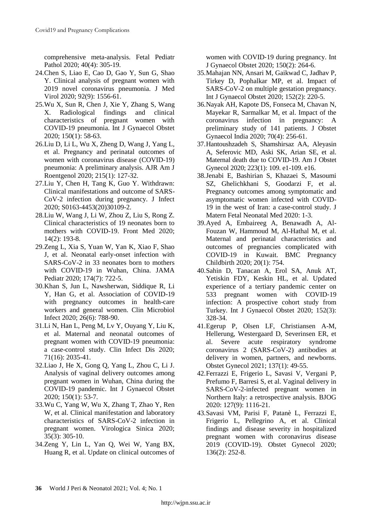comprehensive meta-analysis. Fetal Pediatr Pathol 2020; 40(4): 305-19.

- 24.Chen S, Liao E, Cao D, Gao Y, Sun G, Shao Y. Clinical analysis of pregnant women with 2019 novel coronavirus pneumonia. J Med Virol 2020; 92(9): 1556-61.
- 25.Wu X, Sun R, Chen J, Xie Y, Zhang S, Wang X. Radiological findings and clinical characteristics of pregnant women with COVID-19 pneumonia. Int J Gynaecol Obstet 2020; 150(1): 58-63.
- 26.Liu D, Li L, Wu X, Zheng D, Wang J, Yang L, et al. Pregnancy and perinatal outcomes of women with coronavirus disease (COVID-19) pneumonia: A preliminary analysis. AJR Am J Roentgenol 2020; 215(1): 127-32.
- 27.Liu Y, Chen H, Tang K, Guo Y. Withdrawn: Clinical manifestations and outcome of SARS-CoV-2 infection during pregnancy. J Infect 2020; S0163-4453(20)30109-2.
- 28.Liu W, Wang J, Li W, Zhou Z, Liu S, Rong Z. Clinical characteristics of 19 neonates born to mothers with COVID-19. Front Med 2020; 14(2): 193-8.
- 29.Zeng L, Xia S, Yuan W, Yan K, Xiao F, Shao J, et al. Neonatal early-onset infection with SARS-CoV-2 in 33 neonates born to mothers with COVID-19 in Wuhan, China. JAMA Pediatr 2020; 174(7): 722-5.
- 30.Khan S, Jun L, Nawsherwan, Siddique R, Li Y, Han G, et al. Association of COVID-19 with pregnancy outcomes in health-care workers and general women. Clin Microbiol Infect 2020; 26(6): 788-90.
- 31.Li N, Han L, Peng M, Lv Y, Ouyang Y, Liu K, et al. Maternal and neonatal outcomes of pregnant women with COVID-19 pneumonia: a case-control study. Clin Infect Dis 2020; 71(16): 2035-41.
- 32.Liao J, He X, Gong Q, Yang L, Zhou C, Li J. Analysis of vaginal delivery outcomes among pregnant women in Wuhan, China during the COVID-19 pandemic. Int J Gynaecol Obstet 2020; 150(1): 53-7.
- 33.Wu C, Yang W, Wu X, Zhang T, Zhao Y, Ren W, et al. Clinical manifestation and laboratory characteristics of SARS-CoV-2 infection in pregnant women. Virologica Sinica 2020; 35(3): 305-10.
- 34.Zeng Y, Lin L, Yan Q, Wei W, Yang BX, Huang R, et al. Update on clinical outcomes of

women with COVID-19 during pregnancy. Int J Gynaecol Obstet 2020; 150(2): 264-6.

- 35.Mahajan NN, Ansari M, Gaikwad C, Jadhav P, Tirkey D, Pophalkar MP, et al. Impact of SARS-CoV-2 on multiple gestation pregnancy. Int J Gynaecol Obstet 2020; 152(2): 220-5.
- 36.Nayak AH, Kapote DS, Fonseca M, Chavan N, Mayekar R, Sarmalkar M, et al. Impact of the coronavirus infection in pregnancy: preliminary study of 141 patients. J Obstet Gynaecol India 2020; 70(4): 256-61.
- 37.Hantoushzadeh S, Shamshirsaz AA, Aleyasin A, Seferovic MD, Aski SK, Arian SE, et al. Maternal death due to COVID-19. Am J Obstet Gynecol 2020; 223(1): 109. e1-109. e16.
- 38.Jenabi E, Bashirian S, Khazaei S, Masoumi SZ, Ghelichkhani S, Goodarzi F, et al. Pregnancy outcomes among symptomatic and asymptomatic women infected with COVID-19 in the west of Iran: a case-control study. J Matern Fetal Neonatal Med 2020: 1-3.
- 39.Ayed A, Embaireeg A, Benawadh A, Al-Fouzan W, Hammoud M, Al-Hathal M, et al. Maternal and perinatal characteristics and outcomes of pregnancies complicated with COVID-19 in Kuwait. BMC Pregnancy Childbirth 2020; 20(1): 754.
- 40.Sahin D, Tanacan A, Erol SA, Anuk AT, Yetiskin FDY, Keskin HL, et al. Updated experience of a tertiary pandemic center on 533 pregnant women with COVID-19 infection: A prospective cohort study from Turkey. Int J Gynaecol Obstet 2020; 152(3): 328-34.
- 41.Egerup P, Olsen LF, Christiansen A-M, Hellerung, Westergaard D, Severinsen ER, et al. Severe acute respiratory syndrome coronavirus 2 (SARS-CoV-2) antibodies at delivery in women, partners, and newborns. Obstet Gynecol 2021; 137(1): 49-55.
- 42.Ferrazzi E, Frigerio L, Savasi V, Vergani P, Prefumo F, Barresi S, et al. Vaginal delivery in SARS-CoV-2-infected pregnant women in Northern Italy: a retrospective analysis. BJOG 2020: 127(9): 1116-21.
- 43.Savasi VM, Parisi F, Patanè L, Ferrazzi E, Frigerio L, Pellegrino A, et al. Clinical findings and disease severity in hospitalized pregnant women with coronavirus disease 2019 (COVID-19). Obstet Gynecol 2020; 136(2): 252-8.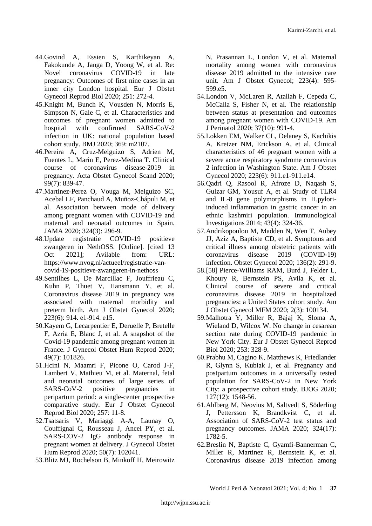- 44.Govind A, Essien S, Karthikeyan A, Fakokunde A, Janga D, Yoong W, et al. Re: Novel coronavirus COVID-19 in late pregnancy: Outcomes of first nine cases in an inner city London hospital. Eur J Obstet Gynecol Reprod Biol 2020; 251: 272-4.
- 45.Knight M, Bunch K, Vousden N, Morris E, Simpson N, Gale C, et al. Characteristics and outcomes of pregnant women admitted to hospital with confirmed SARS-CoV-2 infection in UK: national population based cohort study. BMJ 2020; 369: m2107.
- 46.Pereira A, Cruz-Melguizo S, Adrien M, Fuentes L, Marin E, Perez-Medina T. Clinical course of coronavirus disease-2019 in pregnancy. Acta Obstet Gynecol Scand 2020; 99(7): 839-47.
- 47.Martínez-Perez O, Vouga M, Melguizo SC, Acebal LF, Panchaud A, Muñoz-Chápuli M, et al. Association between mode of delivery among pregnant women with COVID-19 and maternal and neonatal outcomes in Spain. JAMA 2020; 324(3): 296-9.
- 48.Update registratie COVID-19 positieve zwangeren in NethOSS. [Online]. [cited 13 Oct 2021]; Avilable from: URL: https://www.nvog.nl/actueel/registratie-vancovid-19-positieve-zwangeren-in-nethoss
- 49.Sentilhes L, De Marcillac F, Jouffrieau C, Kuhn P, Thuet V, Hansmann Y, et al. Coronavirus disease 2019 in pregnancy was associated with maternal morbidity and preterm birth. Am J Obstet Gynecol 2020; 223(6): 914. e1-914. e15.
- 50.Kayem G, Lecarpentier E, Deruelle P, Bretelle F, Azria E, Blanc J, et al. A snapshot of the Covid-19 pandemic among pregnant women in France. J Gynecol Obstet Hum Reprod 2020; 49(7): 101826.
- 51.Hcini N, Maamri F, Picone O, Carod J-F, Lambert V, Mathieu M, et al. Maternal, fetal and neonatal outcomes of large series of SARS-CoV-2 positive pregnancies in peripartum period: a single-center prospective comparative study. Eur J Obstet Gynecol Reprod Biol 2020; 257: 11-8.
- 52.Tsatsaris V, Mariaggi A-A, Launay O, Couffignal C, Rousseau J, Ancel PY, et al. SARS-COV-2 IgG antibody response in pregnant women at delivery. J Gynecol Obstet Hum Reprod 2020; 50(7): 102041.
- 53.Blitz MJ, Rochelson B, Minkoff H, Meirowitz

N, Prasannan L, London V, et al. Maternal mortality among women with coronavirus disease 2019 admitted to the intensive care unit. Am J Obstet Gynecol; 223(4): 595- 599.e5.

- 54.London V, McLaren R, Atallah F, Cepeda C, McCalla S, Fisher N, et al. The relationship between status at presentation and outcomes among pregnant women with COVID-19. Am J Perinatol 2020; 37(10): 991-4.
- 55.Lokken EM, Walker CL, Delaney S, Kachikis A, Kretzer NM, Erickson A, et al. Clinical characteristics of 46 pregnant women with a severe acute respiratory syndrome coronavirus 2 infection in Washington State. Am J Obstet Gynecol 2020; 223(6): 911.e1-911.e14.
- 56.Qadri Q, Rasool R, Afroze D, Naqash S, Gulzar GM, Yousuf A, et al. Study of TLR4 and IL-8 gene polymorphisms in H.pyloriinduced inflammation in gastric cancer in an ethnic kashmiri population. Immunological Investigations 2014; 43(4): 324-36.
- 57.Andrikopoulou M, Madden N, Wen T, Aubey JJ, Aziz A, Baptiste CD, et al. Symptoms and critical illness among obstetric patients with coronavirus disease 2019 (COVID-19) infection. Obstet Gynecol 2020; 136(2): 291-9.
- 58.[58] Pierce-Williams RAM, Burd J, Felder L, Khoury R, Bernstein PS, Avila K, et al. Clinical course of severe and critical coronavirus disease 2019 in hospitalized pregnancies: a United States cohort study. Am J Obstet Gynecol MFM 2020; 2(3): 100134.
- 59.Malhotra Y, Miller R, Bajaj K, Sloma A, Wieland D, Wilcox W. No change in cesarean section rate during COVID-19 pandemic in New York City. Eur J Obstet Gynecol Reprod Biol 2020; 253: 328-9.
- 60.Prabhu M, Cagino K, Matthews K, Friedlander R, Glynn S, Kubiak J, et al. Pregnancy and postpartum outcomes in a universally tested population for SARS‐CoV‐2 in New York City: a prospective cohort study. BJOG 2020; 127(12): 1548-56.
- 61.Ahlberg M, Neovius M, Saltvedt S, Söderling J, Pettersson K, Brandkvist C, et al. Association of SARS-CoV-2 test status and pregnancy outcomes. JAMA 2020; 324(17): 1782-5.
- 62.Breslin N, Baptiste C, Gyamfi-Bannerman C, Miller R, Martinez R, Bernstein K, et al. Coronavirus disease 2019 infection among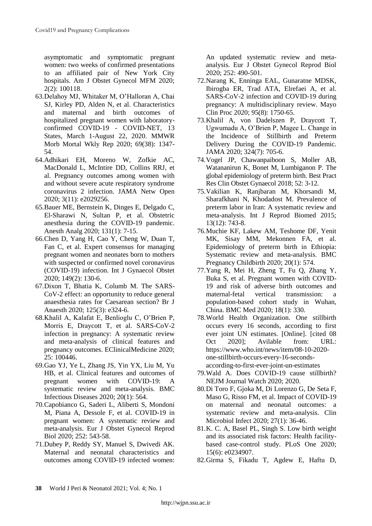asymptomatic and symptomatic pregnant women: two weeks of confirmed presentations to an affiliated pair of New York City hospitals. Am J Obstet Gynecol MFM 2020; 2(2): 100118.

- 63.Delahoy MJ, Whitaker M, O'Halloran A, Chai SJ, Kirley PD, Alden N, et al. Characteristics and maternal and birth outcomes of hospitalized pregnant women with laboratoryconfirmed COVID-19 - COVID-NET, 13 States, March 1-August 22, 2020. MMWR Morb Mortal Wkly Rep 2020; 69(38): 1347- 54.
- 64.Adhikari EH, Moreno W, Zofkie AC, MacDonald L, McIntire DD, Collins RRJ, et al. Pregnancy outcomes among women with and without severe acute respiratory syndrome coronavirus 2 infection. JAMA Netw Open 2020; 3(11): e2029256.
- 65.Bauer ME, Bernstein K, Dinges E, Delgado C, El-Sharawi N, Sultan P, et al. Obstetric anesthesia during the COVID-19 pandemic. Anesth Analg 2020; 131(1): 7-15.
- 66.Chen D, Yang H, Cao Y, Cheng W, Duan T, Fan C, et al. Expert consensus for managing pregnant women and neonates born to mothers with suspected or confirmed novel coronavirus (COVID-19) infection. Int J Gynaecol Obstet 2020; 149(2): 130-6.
- 67.Dixon T, Bhatia K, Columb M. The SARS-CoV-2 effect: an opportunity to reduce general anaesthesia rates for Caesarean section? Br J Anaesth 2020; 125(3): e324-6.
- 68.Khalil A, Kalafat E, Benlioglu C, O'Brien P, Morris E, Draycott T, et al. SARS-CoV-2 infection in pregnancy: A systematic review and meta-analysis of clinical features and pregnancy outcomes. EClinicalMedicine 2020; 25: 100446.
- 69.Gao YJ, Ye L, Zhang JS, Yin YX, Liu M, Yu HB, et al. Clinical features and outcomes of pregnant women with COVID-19: A systematic review and meta-analysis. BMC Infectious Diseases 2020; 20(1): 564.
- 70.Capobianco G, Saderi L, Aliberti S, Mondoni M, Piana A, Dessole F, et al. COVID-19 in pregnant women: A systematic review and meta-analysis. Eur J Obstet Gynecol Reprod Biol 2020; 252: 543-58.
- 71.Dubey P, Reddy SY, Manuel S, Dwivedi AK. Maternal and neonatal characteristics and outcomes among COVID-19 infected women:

An updated systematic review and metaanalysis. Eur J Obstet Gynecol Reprod Biol 2020; 252: 490-501.

- 72.Narang K, Enninga EAL, Gunaratne MDSK, Ibirogba ER, Trad ATA, Elrefaei A, et al. SARS-CoV-2 infection and COVID-19 during pregnancy: A multidisciplinary review. Mayo Clin Proc 2020; 95(8): 1750-65.
- 73.Khalil A, von Dadelszen P, Draycott T, Ugwumadu A, O'Brien P, Magee L. Change in the Incidence of Stillbirth and Preterm Delivery During the COVID-19 Pandemic. JAMA 2020; 324(7): 705-6.
- 74.Vogel JP, Chawanpaiboon S, Moller AB, Watananirun K, Bonet M, Lumbiganon P. The global epidemiology of preterm birth. Best Pract Res Clin Obstet Gynaecol 2018; 52: 3-12.
- 75.Vakilian K, Ranjbaran M, Khorsandi M, Sharafkhani N, Khodadost M. Prevalence of preterm labor in Iran: A systematic review and meta-analysis. Int J Reprod Biomed 2015; 13(12): 743-8.
- 76.Muchie KF, Lakew AM, Teshome DF, Yenit MK, Sisay MM, Mekonnen FA, et al. Epidemiology of preterm birth in Ethiopia: Systematic review and meta-analysis. BMC Pregnancy Childbirth 2020; 20(1): 574.
- 77.Yang R, Mei H, Zheng T, Fu Q, Zhang Y, Buka S, et al. Pregnant women with COVID-19 and risk of adverse birth outcomes and maternal-fetal vertical transmission: population-based cohort study in Wuhan, China. BMC Med 2020; 18(1): 330.
- 78.World Health Organization. One stillbirth occurs every 16 seconds, according to first ever joint UN estimates. [Online]. [cited 08 Oct 2020]; Avilable from: URL: https://www.who.int/news/item/08-10-2020 one-stillbirth-occurs-every-16-secondsaccording-to-first-ever-joint-un-estimates
- 79.Wald A. Does COVID-19 cause stillbirth? NEJM Journal Watch 2020; 2020.
- 80.Di Toro F, Gjoka M, Di Lorenzo G, De Seta F, Maso G, Risso FM, et al. Impact of COVID-19 on maternal and neonatal outcomes: a systematic review and meta-analysis. Clin Microbiol Infect 2020; 27(1): 36-46.
- 81.K. C. A, Basel PL, Singh S. Low birth weight and its associated risk factors: Health facilitybased case-control study. PLoS One 2020; 15(6): e0234907.
- 82.Girma S, Fikadu T, Agdew E, Haftu D,